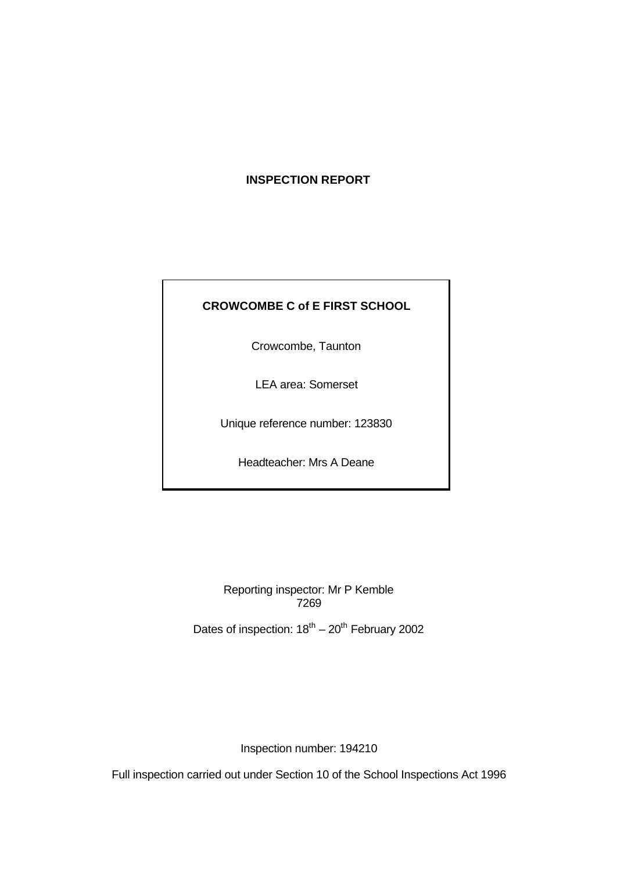# **INSPECTION REPORT**

# **CROWCOMBE C of E FIRST SCHOOL**

Crowcombe, Taunton

LEA area: Somerset

Unique reference number: 123830

Headteacher: Mrs A Deane

Reporting inspector: Mr P Kemble 7269

Dates of inspection:  $18^{th} - 20^{th}$  February 2002

Inspection number: 194210

Full inspection carried out under Section 10 of the School Inspections Act 1996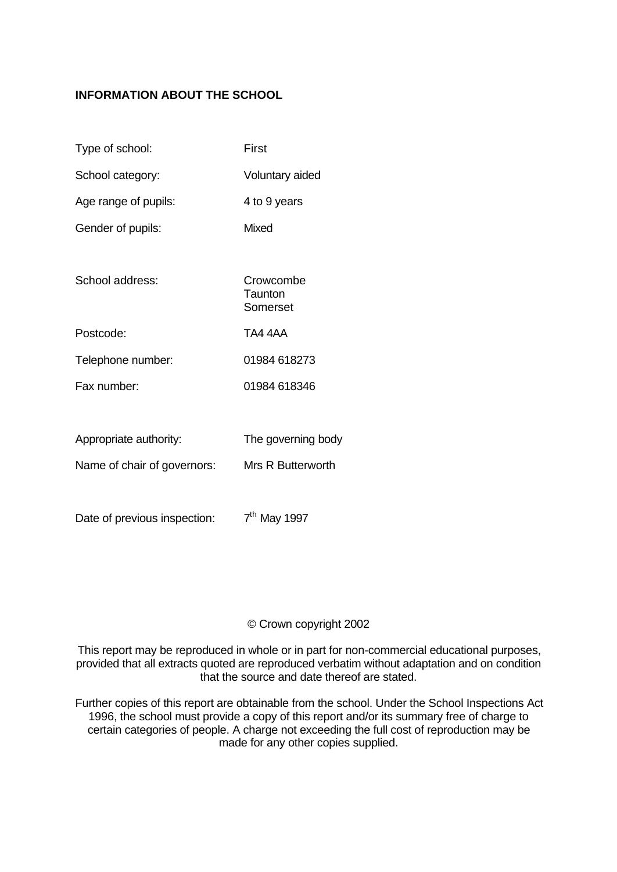# **INFORMATION ABOUT THE SCHOOL**

| Type of school:             | First                            |  |  |
|-----------------------------|----------------------------------|--|--|
| School category:            | Voluntary aided                  |  |  |
| Age range of pupils:        | 4 to 9 years                     |  |  |
| Gender of pupils:           | <b>Mixed</b>                     |  |  |
|                             |                                  |  |  |
| School address:             | Crowcombe<br>Taunton<br>Somerset |  |  |
| Postcode:                   | TA4 4AA                          |  |  |
| Telephone number:           | 01984 618273                     |  |  |
| Fax number:                 | 01984 618346                     |  |  |
|                             |                                  |  |  |
| Appropriate authority:      | The governing body               |  |  |
| Name of chair of governors: | Mrs R Butterworth                |  |  |

Date of previous inspection:  $7<sup>th</sup>$  May 1997

## © Crown copyright 2002

This report may be reproduced in whole or in part for non-commercial educational purposes, provided that all extracts quoted are reproduced verbatim without adaptation and on condition that the source and date thereof are stated.

Further copies of this report are obtainable from the school. Under the School Inspections Act 1996, the school must provide a copy of this report and/or its summary free of charge to certain categories of people. A charge not exceeding the full cost of reproduction may be made for any other copies supplied.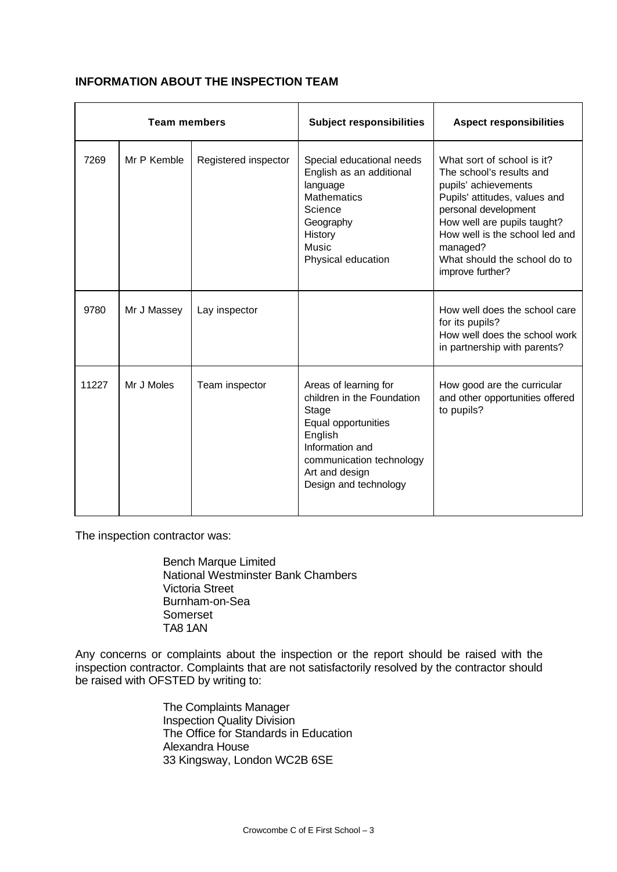| <b>Team members</b> |             | <b>Subject responsibilities</b> | <b>Aspect responsibilities</b>                                                                                                                                                           |                                                                                                                                                                                                                                                                          |
|---------------------|-------------|---------------------------------|------------------------------------------------------------------------------------------------------------------------------------------------------------------------------------------|--------------------------------------------------------------------------------------------------------------------------------------------------------------------------------------------------------------------------------------------------------------------------|
| 7269                | Mr P Kemble | Registered inspector            | Special educational needs<br>English as an additional<br>language<br><b>Mathematics</b><br>Science<br>Geography<br>History<br>Music<br>Physical education                                | What sort of school is it?<br>The school's results and<br>pupils' achievements<br>Pupils' attitudes, values and<br>personal development<br>How well are pupils taught?<br>How well is the school led and<br>managed?<br>What should the school do to<br>improve further? |
| 9780                | Mr J Massey | Lay inspector                   |                                                                                                                                                                                          | How well does the school care<br>for its pupils?<br>How well does the school work<br>in partnership with parents?                                                                                                                                                        |
| 11227               | Mr J Moles  | Team inspector                  | Areas of learning for<br>children in the Foundation<br>Stage<br>Equal opportunities<br>English<br>Information and<br>communication technology<br>Art and design<br>Design and technology | How good are the curricular<br>and other opportunities offered<br>to pupils?                                                                                                                                                                                             |

## **INFORMATION ABOUT THE INSPECTION TEAM**

The inspection contractor was:

Bench Marque Limited National Westminster Bank Chambers Victoria Street Burnham-on-Sea Somerset TA8 1AN

Any concerns or complaints about the inspection or the report should be raised with the inspection contractor. Complaints that are not satisfactorily resolved by the contractor should be raised with OFSTED by writing to:

> The Complaints Manager Inspection Quality Division The Office for Standards in Education Alexandra House 33 Kingsway, London WC2B 6SE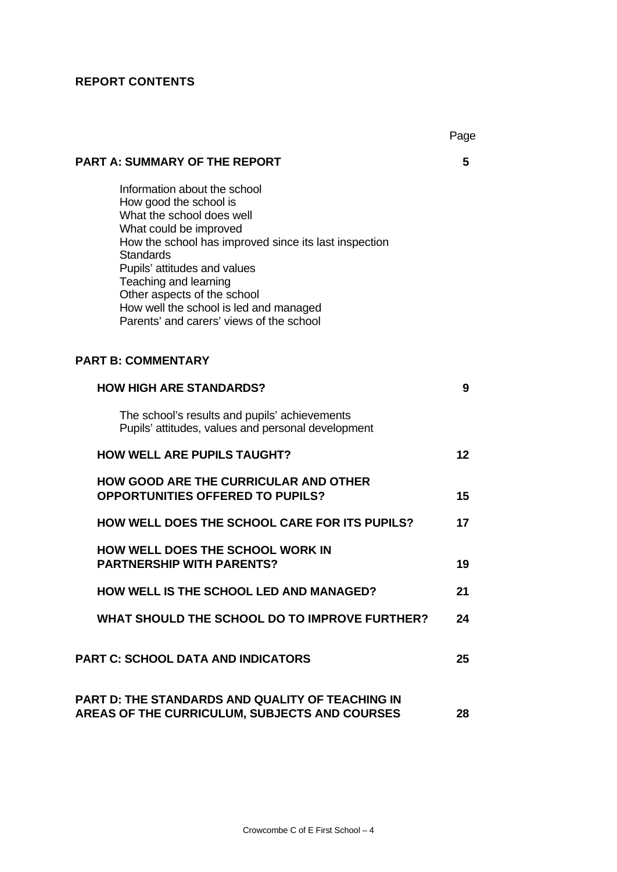# **REPORT CONTENTS**

|                                                                                                                                                                                                                                                                                                                                                                          | Page |
|--------------------------------------------------------------------------------------------------------------------------------------------------------------------------------------------------------------------------------------------------------------------------------------------------------------------------------------------------------------------------|------|
| <b>PART A: SUMMARY OF THE REPORT</b>                                                                                                                                                                                                                                                                                                                                     | 5    |
| Information about the school<br>How good the school is<br>What the school does well<br>What could be improved<br>How the school has improved since its last inspection<br><b>Standards</b><br>Pupils' attitudes and values<br>Teaching and learning<br>Other aspects of the school<br>How well the school is led and managed<br>Parents' and carers' views of the school |      |
| <b>PART B: COMMENTARY</b>                                                                                                                                                                                                                                                                                                                                                |      |
| <b>HOW HIGH ARE STANDARDS?</b>                                                                                                                                                                                                                                                                                                                                           | 9    |
| The school's results and pupils' achievements<br>Pupils' attitudes, values and personal development                                                                                                                                                                                                                                                                      |      |
| <b>HOW WELL ARE PUPILS TAUGHT?</b>                                                                                                                                                                                                                                                                                                                                       | 12   |
| <b>HOW GOOD ARE THE CURRICULAR AND OTHER</b><br><b>OPPORTUNITIES OFFERED TO PUPILS?</b>                                                                                                                                                                                                                                                                                  | 15   |
| <b>HOW WELL DOES THE SCHOOL CARE FOR ITS PUPILS?</b>                                                                                                                                                                                                                                                                                                                     | 17   |
| HOW WELL DOES THE SCHOOL WORK IN<br><b>PARTNERSHIP WITH PARENTS?</b>                                                                                                                                                                                                                                                                                                     | 19   |
| HOW WELL IS THE SCHOOL LED AND MANAGED?                                                                                                                                                                                                                                                                                                                                  | 21   |
| WHAT SHOULD THE SCHOOL DO TO IMPROVE FURTHER?                                                                                                                                                                                                                                                                                                                            | 24   |
| <b>PART C: SCHOOL DATA AND INDICATORS</b>                                                                                                                                                                                                                                                                                                                                | 25   |
| <b>PART D: THE STANDARDS AND QUALITY OF TEACHING IN</b><br>AREAS OF THE CURRICULUM, SUBJECTS AND COURSES                                                                                                                                                                                                                                                                 | 28   |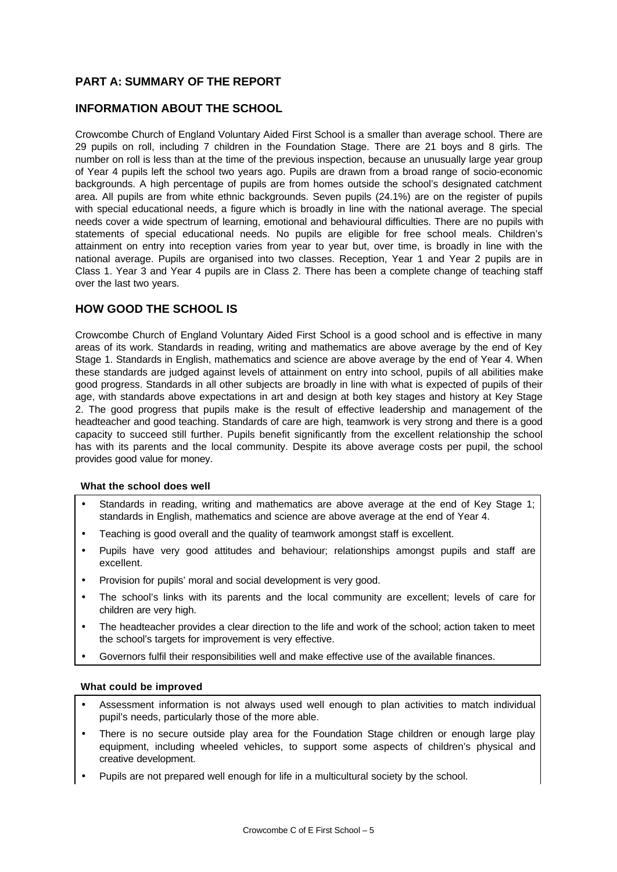## **PART A: SUMMARY OF THE REPORT**

### **INFORMATION ABOUT THE SCHOOL**

Crowcombe Church of England Voluntary Aided First School is a smaller than average school. There are 29 pupils on roll, including 7 children in the Foundation Stage. There are 21 boys and 8 girls. The number on roll is less than at the time of the previous inspection, because an unusually large year group of Year 4 pupils left the school two years ago. Pupils are drawn from a broad range of socio-economic backgrounds. A high percentage of pupils are from homes outside the school's designated catchment area. All pupils are from white ethnic backgrounds. Seven pupils (24.1%) are on the register of pupils with special educational needs, a figure which is broadly in line with the national average. The special needs cover a wide spectrum of learning, emotional and behavioural difficulties. There are no pupils with statements of special educational needs. No pupils are eligible for free school meals. Children's attainment on entry into reception varies from year to year but, over time, is broadly in line with the national average. Pupils are organised into two classes. Reception, Year 1 and Year 2 pupils are in Class 1. Year 3 and Year 4 pupils are in Class 2. There has been a complete change of teaching staff over the last two years.

### **HOW GOOD THE SCHOOL IS**

Crowcombe Church of England Voluntary Aided First School is a good school and is effective in many areas of its work. Standards in reading, writing and mathematics are above average by the end of Key Stage 1. Standards in English, mathematics and science are above average by the end of Year 4. When these standards are judged against levels of attainment on entry into school, pupils of all abilities make good progress. Standards in all other subjects are broadly in line with what is expected of pupils of their age, with standards above expectations in art and design at both key stages and history at Key Stage 2. The good progress that pupils make is the result of effective leadership and management of the headteacher and good teaching. Standards of care are high, teamwork is very strong and there is a good capacity to succeed still further. Pupils benefit significantly from the excellent relationship the school has with its parents and the local community. Despite its above average costs per pupil, the school provides good value for money.

### **What the school does well**

- Standards in reading, writing and mathematics are above average at the end of Key Stage 1; standards in English, mathematics and science are above average at the end of Year 4.
- Teaching is good overall and the quality of teamwork amongst staff is excellent.
- Pupils have very good attitudes and behaviour; relationships amongst pupils and staff are excellent.
- Provision for pupils' moral and social development is very good.
- The school's links with its parents and the local community are excellent; levels of care for children are very high.
- The headteacher provides a clear direction to the life and work of the school; action taken to meet the school's targets for improvement is very effective.
- Governors fulfil their responsibilities well and make effective use of the available finances.

### **What could be improved**

- Assessment information is not always used well enough to plan activities to match individual pupil's needs, particularly those of the more able.
- There is no secure outside play area for the Foundation Stage children or enough large play equipment, including wheeled vehicles, to support some aspects of children's physical and creative development.
- Pupils are not prepared well enough for life in a multicultural society by the school.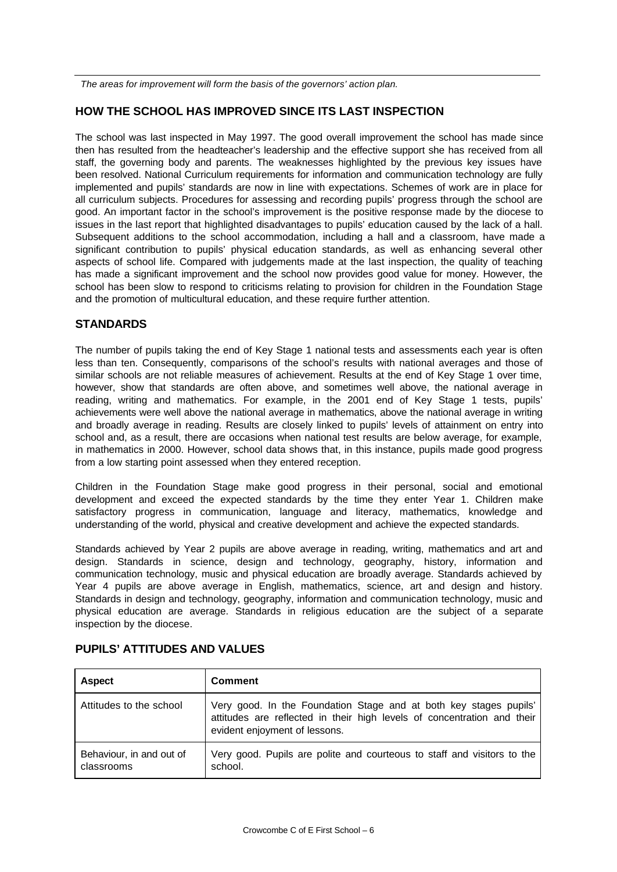*The areas for improvement will form the basis of the governors' action plan.*

# **HOW THE SCHOOL HAS IMPROVED SINCE ITS LAST INSPECTION**

The school was last inspected in May 1997. The good overall improvement the school has made since then has resulted from the headteacher's leadership and the effective support she has received from all staff, the governing body and parents. The weaknesses highlighted by the previous key issues have been resolved. National Curriculum requirements for information and communication technology are fully implemented and pupils' standards are now in line with expectations. Schemes of work are in place for all curriculum subjects. Procedures for assessing and recording pupils' progress through the school are good. An important factor in the school's improvement is the positive response made by the diocese to issues in the last report that highlighted disadvantages to pupils' education caused by the lack of a hall. Subsequent additions to the school accommodation, including a hall and a classroom, have made a significant contribution to pupils' physical education standards, as well as enhancing several other aspects of school life. Compared with judgements made at the last inspection, the quality of teaching has made a significant improvement and the school now provides good value for money. However, the school has been slow to respond to criticisms relating to provision for children in the Foundation Stage and the promotion of multicultural education, and these require further attention.

### **STANDARDS**

The number of pupils taking the end of Key Stage 1 national tests and assessments each year is often less than ten. Consequently, comparisons of the school's results with national averages and those of similar schools are not reliable measures of achievement. Results at the end of Key Stage 1 over time, however, show that standards are often above, and sometimes well above, the national average in reading, writing and mathematics. For example, in the 2001 end of Key Stage 1 tests, pupils' achievements were well above the national average in mathematics, above the national average in writing and broadly average in reading. Results are closely linked to pupils' levels of attainment on entry into school and, as a result, there are occasions when national test results are below average, for example, in mathematics in 2000. However, school data shows that, in this instance, pupils made good progress from a low starting point assessed when they entered reception.

Children in the Foundation Stage make good progress in their personal, social and emotional development and exceed the expected standards by the time they enter Year 1. Children make satisfactory progress in communication, language and literacy, mathematics, knowledge and understanding of the world, physical and creative development and achieve the expected standards.

Standards achieved by Year 2 pupils are above average in reading, writing, mathematics and art and design. Standards in science, design and technology, geography, history, information and communication technology, music and physical education are broadly average. Standards achieved by Year 4 pupils are above average in English, mathematics, science, art and design and history. Standards in design and technology, geography, information and communication technology, music and physical education are average. Standards in religious education are the subject of a separate inspection by the diocese.

| <b>Aspect</b>                          | <b>Comment</b>                                                                                                                                                                |
|----------------------------------------|-------------------------------------------------------------------------------------------------------------------------------------------------------------------------------|
| Attitudes to the school                | Very good. In the Foundation Stage and at both key stages pupils'<br>attitudes are reflected in their high levels of concentration and their<br>evident enjoyment of lessons. |
| Behaviour, in and out of<br>classrooms | Very good. Pupils are polite and courteous to staff and visitors to the<br>school.                                                                                            |

### **PUPILS' ATTITUDES AND VALUES**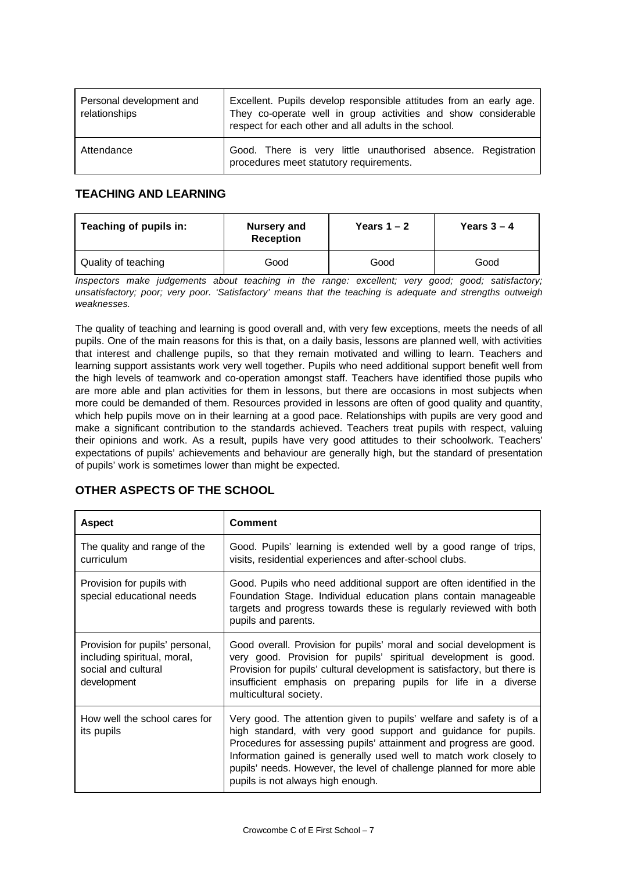| Personal development and<br>relationships | Excellent. Pupils develop responsible attitudes from an early age.<br>They co-operate well in group activities and show considerable<br>respect for each other and all adults in the school. |
|-------------------------------------------|----------------------------------------------------------------------------------------------------------------------------------------------------------------------------------------------|
| Attendance                                | Good. There is very little unauthorised absence. Registration<br>procedures meet statutory requirements.                                                                                     |

## **TEACHING AND LEARNING**

| Teaching of pupils in: | Nursery and<br><b>Reception</b> | Years $1 - 2$ | Years $3 - 4$ |
|------------------------|---------------------------------|---------------|---------------|
| Quality of teaching    | Good                            | Good          | Good          |

*Inspectors make judgements about teaching in the range: excellent; very good; good; satisfactory; unsatisfactory; poor; very poor. 'Satisfactory' means that the teaching is adequate and strengths outweigh weaknesses.*

The quality of teaching and learning is good overall and, with very few exceptions, meets the needs of all pupils. One of the main reasons for this is that, on a daily basis, lessons are planned well, with activities that interest and challenge pupils, so that they remain motivated and willing to learn. Teachers and learning support assistants work very well together. Pupils who need additional support benefit well from the high levels of teamwork and co-operation amongst staff. Teachers have identified those pupils who are more able and plan activities for them in lessons, but there are occasions in most subjects when more could be demanded of them. Resources provided in lessons are often of good quality and quantity, which help pupils move on in their learning at a good pace. Relationships with pupils are very good and make a significant contribution to the standards achieved. Teachers treat pupils with respect, valuing their opinions and work. As a result, pupils have very good attitudes to their schoolwork. Teachers' expectations of pupils' achievements and behaviour are generally high, but the standard of presentation of pupils' work is sometimes lower than might be expected.

# **OTHER ASPECTS OF THE SCHOOL**

| <b>Aspect</b>                                                                                        | <b>Comment</b>                                                                                                                                                                                                                                                                                                                                                                                  |
|------------------------------------------------------------------------------------------------------|-------------------------------------------------------------------------------------------------------------------------------------------------------------------------------------------------------------------------------------------------------------------------------------------------------------------------------------------------------------------------------------------------|
| The quality and range of the<br>curriculum                                                           | Good. Pupils' learning is extended well by a good range of trips,<br>visits, residential experiences and after-school clubs.                                                                                                                                                                                                                                                                    |
| Provision for pupils with<br>special educational needs                                               | Good. Pupils who need additional support are often identified in the<br>Foundation Stage. Individual education plans contain manageable<br>targets and progress towards these is regularly reviewed with both<br>pupils and parents.                                                                                                                                                            |
| Provision for pupils' personal,<br>including spiritual, moral,<br>social and cultural<br>development | Good overall. Provision for pupils' moral and social development is<br>very good. Provision for pupils' spiritual development is good.<br>Provision for pupils' cultural development is satisfactory, but there is<br>insufficient emphasis on preparing pupils for life in a diverse<br>multicultural society.                                                                                 |
| How well the school cares for<br>its pupils                                                          | Very good. The attention given to pupils' welfare and safety is of a<br>high standard, with very good support and guidance for pupils.<br>Procedures for assessing pupils' attainment and progress are good.<br>Information gained is generally used well to match work closely to<br>pupils' needs. However, the level of challenge planned for more able<br>pupils is not always high enough. |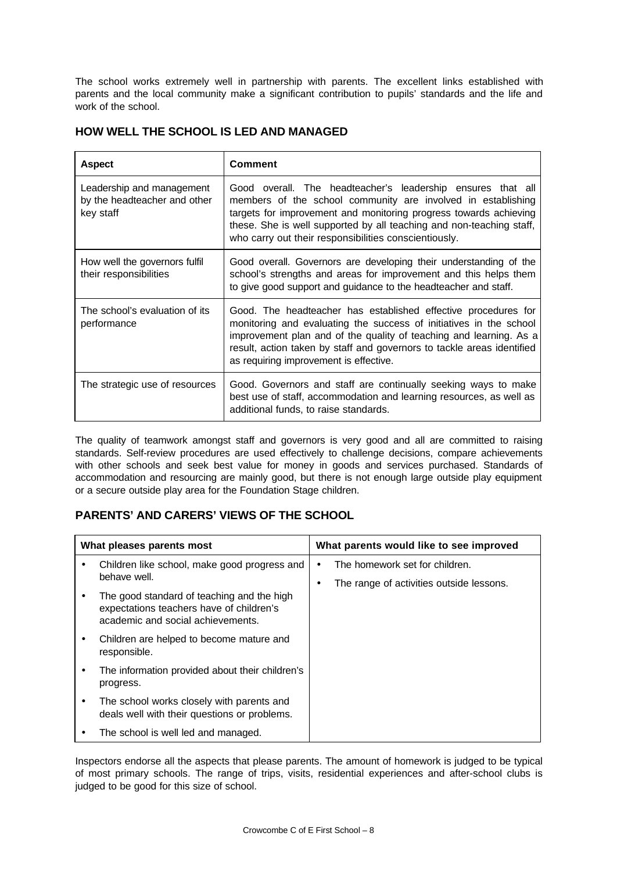The school works extremely well in partnership with parents. The excellent links established with parents and the local community make a significant contribution to pupils' standards and the life and work of the school.

| <b>Aspect</b>                                                          | <b>Comment</b>                                                                                                                                                                                                                                                                                                                    |
|------------------------------------------------------------------------|-----------------------------------------------------------------------------------------------------------------------------------------------------------------------------------------------------------------------------------------------------------------------------------------------------------------------------------|
| Leadership and management<br>by the headteacher and other<br>key staff | Good overall. The headteacher's leadership ensures that all<br>members of the school community are involved in establishing<br>targets for improvement and monitoring progress towards achieving<br>these. She is well supported by all teaching and non-teaching staff,<br>who carry out their responsibilities conscientiously. |
| How well the governors fulfil<br>their responsibilities                | Good overall. Governors are developing their understanding of the<br>school's strengths and areas for improvement and this helps them<br>to give good support and guidance to the headteacher and staff.                                                                                                                          |
| The school's evaluation of its<br>performance                          | Good. The headteacher has established effective procedures for<br>monitoring and evaluating the success of initiatives in the school<br>improvement plan and of the quality of teaching and learning. As a<br>result, action taken by staff and governors to tackle areas identified<br>as requiring improvement is effective.    |
| The strategic use of resources                                         | Good. Governors and staff are continually seeking ways to make<br>best use of staff, accommodation and learning resources, as well as<br>additional funds, to raise standards.                                                                                                                                                    |

## **HOW WELL THE SCHOOL IS LED AND MANAGED**

The quality of teamwork amongst staff and governors is very good and all are committed to raising standards. Self-review procedures are used effectively to challenge decisions, compare achievements with other schools and seek best value for money in goods and services purchased. Standards of accommodation and resourcing are mainly good, but there is not enough large outside play equipment or a secure outside play area for the Foundation Stage children.

# **PARENTS' AND CARERS' VIEWS OF THE SCHOOL**

| What pleases parents most |                                                                                                                             | What parents would like to see improved                                    |
|---------------------------|-----------------------------------------------------------------------------------------------------------------------------|----------------------------------------------------------------------------|
|                           | Children like school, make good progress and<br>behave well.                                                                | The homework set for children.<br>The range of activities outside lessons. |
|                           | The good standard of teaching and the high<br>expectations teachers have of children's<br>academic and social achievements. |                                                                            |
|                           | Children are helped to become mature and<br>responsible.                                                                    |                                                                            |
|                           | The information provided about their children's<br>progress.                                                                |                                                                            |
|                           | The school works closely with parents and<br>deals well with their questions or problems.                                   |                                                                            |
|                           | The school is well led and managed.                                                                                         |                                                                            |

Inspectors endorse all the aspects that please parents. The amount of homework is judged to be typical of most primary schools. The range of trips, visits, residential experiences and after-school clubs is judged to be good for this size of school.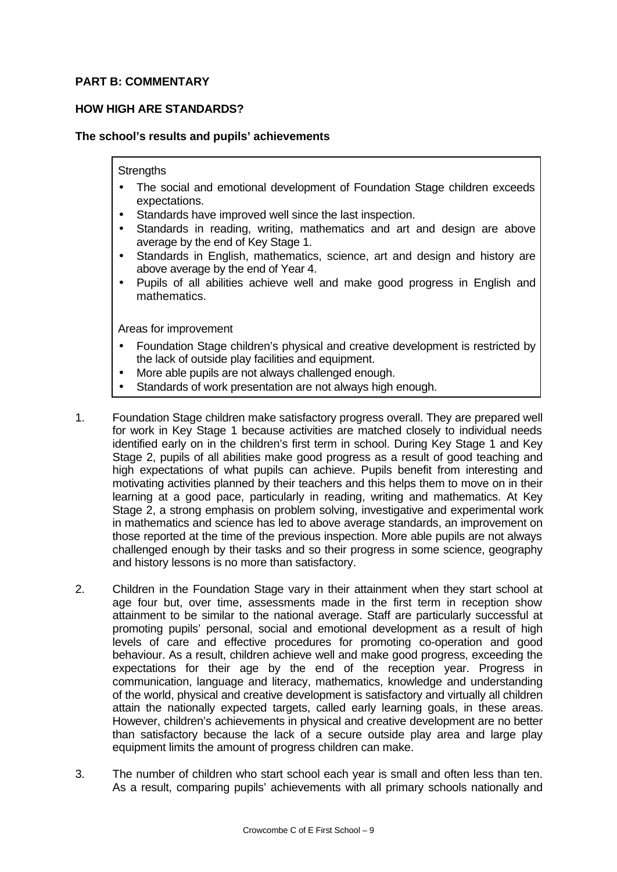## **PART B: COMMENTARY**

## **HOW HIGH ARE STANDARDS?**

### **The school's results and pupils' achievements**

### **Strengths**

- The social and emotional development of Foundation Stage children exceeds expectations.
- Standards have improved well since the last inspection.
- Standards in reading, writing, mathematics and art and design are above average by the end of Key Stage 1.
- Standards in English, mathematics, science, art and design and history are above average by the end of Year 4.
- Pupils of all abilities achieve well and make good progress in English and mathematics.

- Foundation Stage children's physical and creative development is restricted by the lack of outside play facilities and equipment.
- More able pupils are not always challenged enough.
- Standards of work presentation are not always high enough.
- 1. Foundation Stage children make satisfactory progress overall. They are prepared well for work in Key Stage 1 because activities are matched closely to individual needs identified early on in the children's first term in school. During Key Stage 1 and Key Stage 2, pupils of all abilities make good progress as a result of good teaching and high expectations of what pupils can achieve. Pupils benefit from interesting and motivating activities planned by their teachers and this helps them to move on in their learning at a good pace, particularly in reading, writing and mathematics. At Key Stage 2, a strong emphasis on problem solving, investigative and experimental work in mathematics and science has led to above average standards, an improvement on those reported at the time of the previous inspection. More able pupils are not always challenged enough by their tasks and so their progress in some science, geography and history lessons is no more than satisfactory.
- 2. Children in the Foundation Stage vary in their attainment when they start school at age four but, over time, assessments made in the first term in reception show attainment to be similar to the national average. Staff are particularly successful at promoting pupils' personal, social and emotional development as a result of high levels of care and effective procedures for promoting co-operation and good behaviour. As a result, children achieve well and make good progress, exceeding the expectations for their age by the end of the reception year. Progress in communication, language and literacy, mathematics, knowledge and understanding of the world, physical and creative development is satisfactory and virtually all children attain the nationally expected targets, called early learning goals, in these areas. However, children's achievements in physical and creative development are no better than satisfactory because the lack of a secure outside play area and large play equipment limits the amount of progress children can make.
- 3. The number of children who start school each year is small and often less than ten. As a result, comparing pupils' achievements with all primary schools nationally and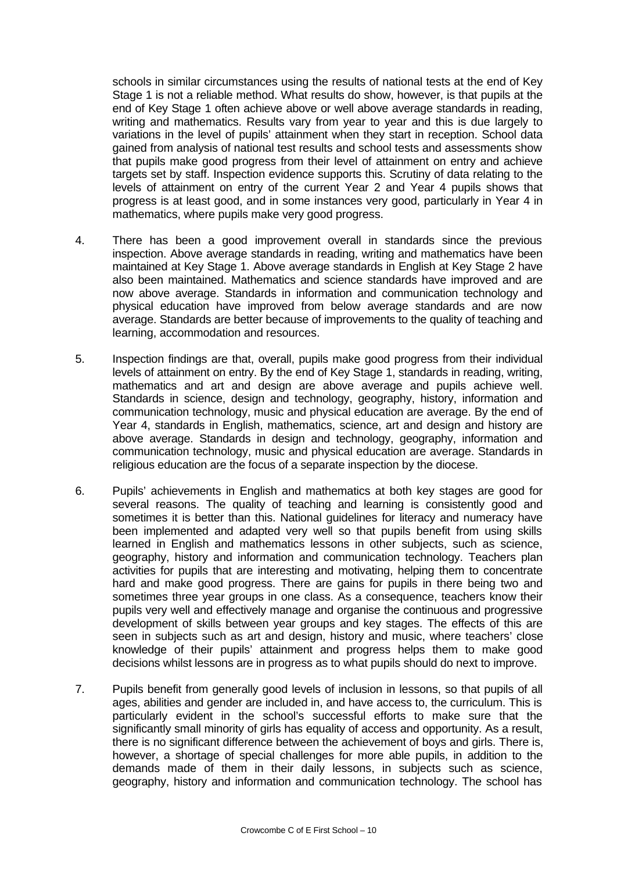schools in similar circumstances using the results of national tests at the end of Key Stage 1 is not a reliable method. What results do show, however, is that pupils at the end of Key Stage 1 often achieve above or well above average standards in reading, writing and mathematics. Results vary from year to year and this is due largely to variations in the level of pupils' attainment when they start in reception. School data gained from analysis of national test results and school tests and assessments show that pupils make good progress from their level of attainment on entry and achieve targets set by staff. Inspection evidence supports this. Scrutiny of data relating to the levels of attainment on entry of the current Year 2 and Year 4 pupils shows that progress is at least good, and in some instances very good, particularly in Year 4 in mathematics, where pupils make very good progress.

- 4. There has been a good improvement overall in standards since the previous inspection. Above average standards in reading, writing and mathematics have been maintained at Key Stage 1. Above average standards in English at Key Stage 2 have also been maintained. Mathematics and science standards have improved and are now above average. Standards in information and communication technology and physical education have improved from below average standards and are now average. Standards are better because of improvements to the quality of teaching and learning, accommodation and resources.
- 5. Inspection findings are that, overall, pupils make good progress from their individual levels of attainment on entry. By the end of Key Stage 1, standards in reading, writing, mathematics and art and design are above average and pupils achieve well. Standards in science, design and technology, geography, history, information and communication technology, music and physical education are average. By the end of Year 4, standards in English, mathematics, science, art and design and history are above average. Standards in design and technology, geography, information and communication technology, music and physical education are average. Standards in religious education are the focus of a separate inspection by the diocese.
- 6. Pupils' achievements in English and mathematics at both key stages are good for several reasons. The quality of teaching and learning is consistently good and sometimes it is better than this. National guidelines for literacy and numeracy have been implemented and adapted very well so that pupils benefit from using skills learned in English and mathematics lessons in other subjects, such as science, geography, history and information and communication technology. Teachers plan activities for pupils that are interesting and motivating, helping them to concentrate hard and make good progress. There are gains for pupils in there being two and sometimes three year groups in one class. As a consequence, teachers know their pupils very well and effectively manage and organise the continuous and progressive development of skills between year groups and key stages. The effects of this are seen in subjects such as art and design, history and music, where teachers' close knowledge of their pupils' attainment and progress helps them to make good decisions whilst lessons are in progress as to what pupils should do next to improve.
- 7. Pupils benefit from generally good levels of inclusion in lessons, so that pupils of all ages, abilities and gender are included in, and have access to, the curriculum. This is particularly evident in the school's successful efforts to make sure that the significantly small minority of girls has equality of access and opportunity. As a result, there is no significant difference between the achievement of boys and girls. There is, however, a shortage of special challenges for more able pupils, in addition to the demands made of them in their daily lessons, in subjects such as science, geography, history and information and communication technology. The school has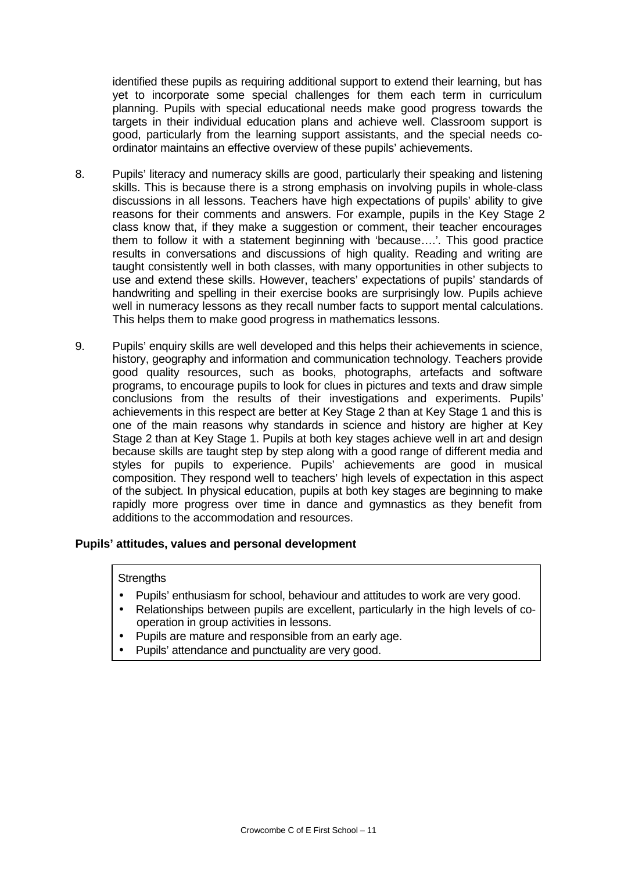identified these pupils as requiring additional support to extend their learning, but has yet to incorporate some special challenges for them each term in curriculum planning. Pupils with special educational needs make good progress towards the targets in their individual education plans and achieve well. Classroom support is good, particularly from the learning support assistants, and the special needs coordinator maintains an effective overview of these pupils' achievements.

- 8. Pupils' literacy and numeracy skills are good, particularly their speaking and listening skills. This is because there is a strong emphasis on involving pupils in whole-class discussions in all lessons. Teachers have high expectations of pupils' ability to give reasons for their comments and answers. For example, pupils in the Key Stage 2 class know that, if they make a suggestion or comment, their teacher encourages them to follow it with a statement beginning with 'because….'. This good practice results in conversations and discussions of high quality. Reading and writing are taught consistently well in both classes, with many opportunities in other subjects to use and extend these skills. However, teachers' expectations of pupils' standards of handwriting and spelling in their exercise books are surprisingly low. Pupils achieve well in numeracy lessons as they recall number facts to support mental calculations. This helps them to make good progress in mathematics lessons.
- 9. Pupils' enquiry skills are well developed and this helps their achievements in science, history, geography and information and communication technology. Teachers provide good quality resources, such as books, photographs, artefacts and software programs, to encourage pupils to look for clues in pictures and texts and draw simple conclusions from the results of their investigations and experiments. Pupils' achievements in this respect are better at Key Stage 2 than at Key Stage 1 and this is one of the main reasons why standards in science and history are higher at Key Stage 2 than at Key Stage 1. Pupils at both key stages achieve well in art and design because skills are taught step by step along with a good range of different media and styles for pupils to experience. Pupils' achievements are good in musical composition. They respond well to teachers' high levels of expectation in this aspect of the subject. In physical education, pupils at both key stages are beginning to make rapidly more progress over time in dance and gymnastics as they benefit from additions to the accommodation and resources.

## **Pupils' attitudes, values and personal development**

### **Strengths**

- Pupils' enthusiasm for school, behaviour and attitudes to work are very good.
- Relationships between pupils are excellent, particularly in the high levels of cooperation in group activities in lessons.
- Pupils are mature and responsible from an early age.
- Pupils' attendance and punctuality are very good.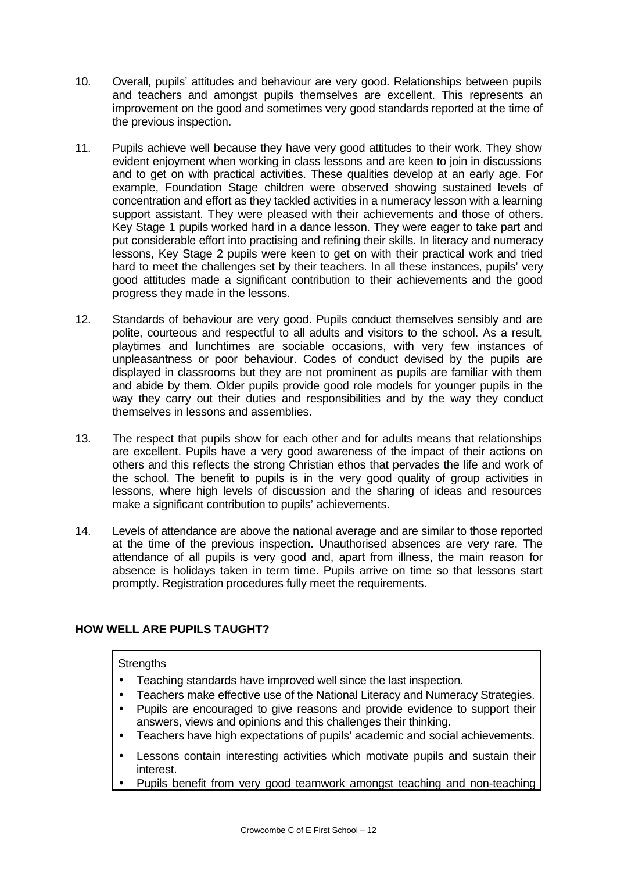- 10. Overall, pupils' attitudes and behaviour are very good. Relationships between pupils and teachers and amongst pupils themselves are excellent. This represents an improvement on the good and sometimes very good standards reported at the time of the previous inspection.
- 11. Pupils achieve well because they have very good attitudes to their work. They show evident enjoyment when working in class lessons and are keen to join in discussions and to get on with practical activities. These qualities develop at an early age. For example, Foundation Stage children were observed showing sustained levels of concentration and effort as they tackled activities in a numeracy lesson with a learning support assistant. They were pleased with their achievements and those of others. Key Stage 1 pupils worked hard in a dance lesson. They were eager to take part and put considerable effort into practising and refining their skills. In literacy and numeracy lessons, Key Stage 2 pupils were keen to get on with their practical work and tried hard to meet the challenges set by their teachers. In all these instances, pupils' very good attitudes made a significant contribution to their achievements and the good progress they made in the lessons.
- 12. Standards of behaviour are very good. Pupils conduct themselves sensibly and are polite, courteous and respectful to all adults and visitors to the school. As a result, playtimes and lunchtimes are sociable occasions, with very few instances of unpleasantness or poor behaviour. Codes of conduct devised by the pupils are displayed in classrooms but they are not prominent as pupils are familiar with them and abide by them. Older pupils provide good role models for younger pupils in the way they carry out their duties and responsibilities and by the way they conduct themselves in lessons and assemblies.
- 13. The respect that pupils show for each other and for adults means that relationships are excellent. Pupils have a very good awareness of the impact of their actions on others and this reflects the strong Christian ethos that pervades the life and work of the school. The benefit to pupils is in the very good quality of group activities in lessons, where high levels of discussion and the sharing of ideas and resources make a significant contribution to pupils' achievements.
- 14. Levels of attendance are above the national average and are similar to those reported at the time of the previous inspection. Unauthorised absences are very rare. The attendance of all pupils is very good and, apart from illness, the main reason for absence is holidays taken in term time. Pupils arrive on time so that lessons start promptly. Registration procedures fully meet the requirements.

# **HOW WELL ARE PUPILS TAUGHT?**

## **Strengths**

- Teaching standards have improved well since the last inspection.
- Teachers make effective use of the National Literacy and Numeracy Strategies.
- Pupils are encouraged to give reasons and provide evidence to support their answers, views and opinions and this challenges their thinking.
- Teachers have high expectations of pupils' academic and social achievements.
- Lessons contain interesting activities which motivate pupils and sustain their interest.
- Pupils benefit from very good teamwork amongst teaching and non-teaching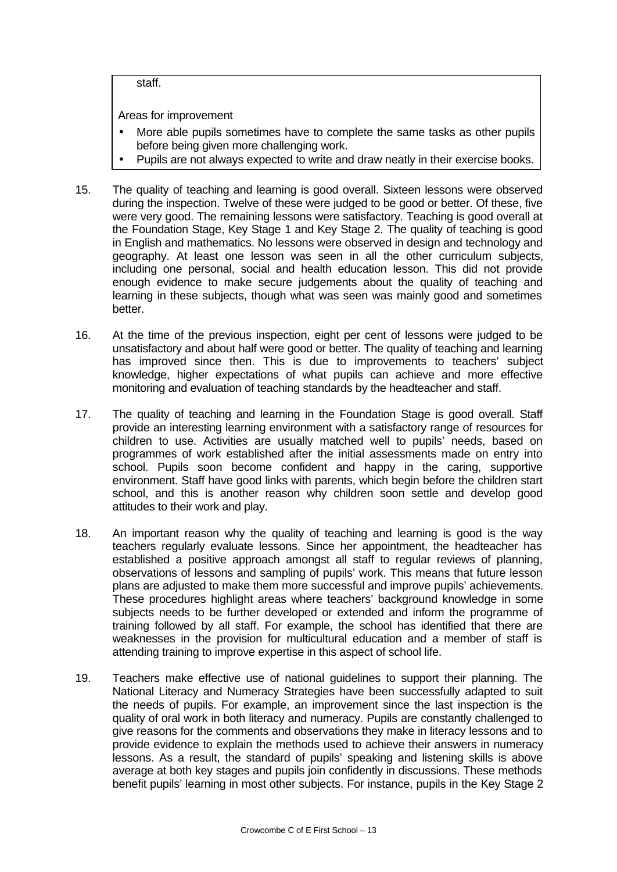staff.

- More able pupils sometimes have to complete the same tasks as other pupils before being given more challenging work.
- Pupils are not always expected to write and draw neatly in their exercise books.
- 15. The quality of teaching and learning is good overall. Sixteen lessons were observed during the inspection. Twelve of these were judged to be good or better. Of these, five were very good. The remaining lessons were satisfactory. Teaching is good overall at the Foundation Stage, Key Stage 1 and Key Stage 2. The quality of teaching is good in English and mathematics. No lessons were observed in design and technology and geography. At least one lesson was seen in all the other curriculum subjects, including one personal, social and health education lesson. This did not provide enough evidence to make secure judgements about the quality of teaching and learning in these subjects, though what was seen was mainly good and sometimes better.
- 16. At the time of the previous inspection, eight per cent of lessons were judged to be unsatisfactory and about half were good or better. The quality of teaching and learning has improved since then. This is due to improvements to teachers' subject knowledge, higher expectations of what pupils can achieve and more effective monitoring and evaluation of teaching standards by the headteacher and staff.
- 17. The quality of teaching and learning in the Foundation Stage is good overall. Staff provide an interesting learning environment with a satisfactory range of resources for children to use. Activities are usually matched well to pupils' needs, based on programmes of work established after the initial assessments made on entry into school. Pupils soon become confident and happy in the caring, supportive environment. Staff have good links with parents, which begin before the children start school, and this is another reason why children soon settle and develop good attitudes to their work and play.
- 18. An important reason why the quality of teaching and learning is good is the way teachers regularly evaluate lessons. Since her appointment, the headteacher has established a positive approach amongst all staff to regular reviews of planning, observations of lessons and sampling of pupils' work. This means that future lesson plans are adjusted to make them more successful and improve pupils' achievements. These procedures highlight areas where teachers' background knowledge in some subjects needs to be further developed or extended and inform the programme of training followed by all staff. For example, the school has identified that there are weaknesses in the provision for multicultural education and a member of staff is attending training to improve expertise in this aspect of school life.
- 19. Teachers make effective use of national guidelines to support their planning. The National Literacy and Numeracy Strategies have been successfully adapted to suit the needs of pupils. For example, an improvement since the last inspection is the quality of oral work in both literacy and numeracy. Pupils are constantly challenged to give reasons for the comments and observations they make in literacy lessons and to provide evidence to explain the methods used to achieve their answers in numeracy lessons. As a result, the standard of pupils' speaking and listening skills is above average at both key stages and pupils join confidently in discussions. These methods benefit pupils' learning in most other subjects. For instance, pupils in the Key Stage 2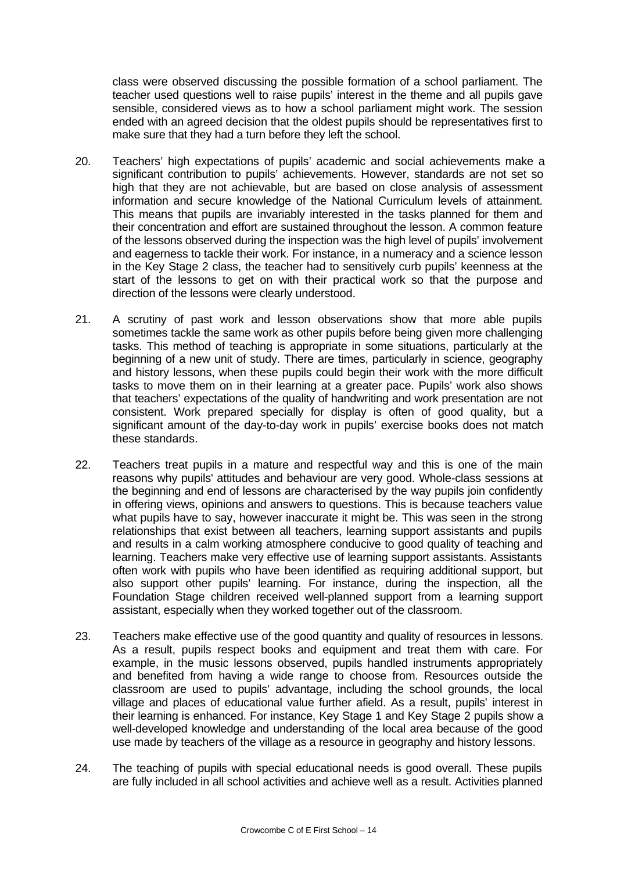class were observed discussing the possible formation of a school parliament. The teacher used questions well to raise pupils' interest in the theme and all pupils gave sensible, considered views as to how a school parliament might work. The session ended with an agreed decision that the oldest pupils should be representatives first to make sure that they had a turn before they left the school.

- 20. Teachers' high expectations of pupils' academic and social achievements make a significant contribution to pupils' achievements. However, standards are not set so high that they are not achievable, but are based on close analysis of assessment information and secure knowledge of the National Curriculum levels of attainment. This means that pupils are invariably interested in the tasks planned for them and their concentration and effort are sustained throughout the lesson. A common feature of the lessons observed during the inspection was the high level of pupils' involvement and eagerness to tackle their work. For instance, in a numeracy and a science lesson in the Key Stage 2 class, the teacher had to sensitively curb pupils' keenness at the start of the lessons to get on with their practical work so that the purpose and direction of the lessons were clearly understood.
- 21. A scrutiny of past work and lesson observations show that more able pupils sometimes tackle the same work as other pupils before being given more challenging tasks. This method of teaching is appropriate in some situations, particularly at the beginning of a new unit of study. There are times, particularly in science, geography and history lessons, when these pupils could begin their work with the more difficult tasks to move them on in their learning at a greater pace. Pupils' work also shows that teachers' expectations of the quality of handwriting and work presentation are not consistent. Work prepared specially for display is often of good quality, but a significant amount of the day-to-day work in pupils' exercise books does not match these standards.
- 22. Teachers treat pupils in a mature and respectful way and this is one of the main reasons why pupils' attitudes and behaviour are very good. Whole-class sessions at the beginning and end of lessons are characterised by the way pupils join confidently in offering views, opinions and answers to questions. This is because teachers value what pupils have to say, however inaccurate it might be. This was seen in the strong relationships that exist between all teachers, learning support assistants and pupils and results in a calm working atmosphere conducive to good quality of teaching and learning. Teachers make very effective use of learning support assistants. Assistants often work with pupils who have been identified as requiring additional support, but also support other pupils' learning. For instance, during the inspection, all the Foundation Stage children received well-planned support from a learning support assistant, especially when they worked together out of the classroom.
- 23. Teachers make effective use of the good quantity and quality of resources in lessons. As a result, pupils respect books and equipment and treat them with care. For example, in the music lessons observed, pupils handled instruments appropriately and benefited from having a wide range to choose from. Resources outside the classroom are used to pupils' advantage, including the school grounds, the local village and places of educational value further afield. As a result, pupils' interest in their learning is enhanced. For instance, Key Stage 1 and Key Stage 2 pupils show a well-developed knowledge and understanding of the local area because of the good use made by teachers of the village as a resource in geography and history lessons.
- 24. The teaching of pupils with special educational needs is good overall. These pupils are fully included in all school activities and achieve well as a result. Activities planned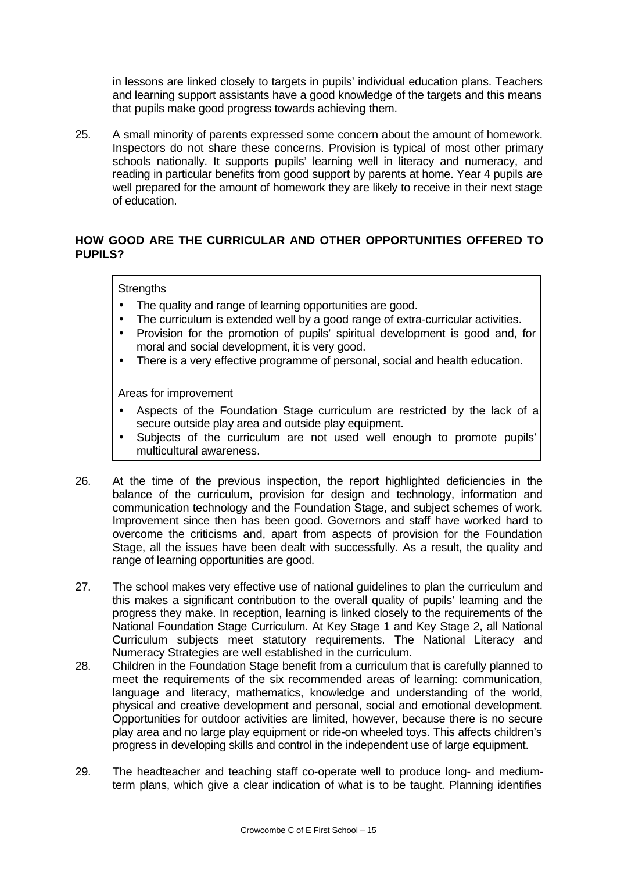in lessons are linked closely to targets in pupils' individual education plans. Teachers and learning support assistants have a good knowledge of the targets and this means that pupils make good progress towards achieving them.

25. A small minority of parents expressed some concern about the amount of homework. Inspectors do not share these concerns. Provision is typical of most other primary schools nationally. It supports pupils' learning well in literacy and numeracy, and reading in particular benefits from good support by parents at home. Year 4 pupils are well prepared for the amount of homework they are likely to receive in their next stage of education.

## **HOW GOOD ARE THE CURRICULAR AND OTHER OPPORTUNITIES OFFERED TO PUPILS?**

### **Strengths**

- The quality and range of learning opportunities are good.
- The curriculum is extended well by a good range of extra-curricular activities.
- Provision for the promotion of pupils' spiritual development is good and, for moral and social development, it is very good.
- There is a very effective programme of personal, social and health education.

- Aspects of the Foundation Stage curriculum are restricted by the lack of a secure outside play area and outside play equipment.
- Subjects of the curriculum are not used well enough to promote pupils' multicultural awareness.
- 26. At the time of the previous inspection, the report highlighted deficiencies in the balance of the curriculum, provision for design and technology, information and communication technology and the Foundation Stage, and subject schemes of work. Improvement since then has been good. Governors and staff have worked hard to overcome the criticisms and, apart from aspects of provision for the Foundation Stage, all the issues have been dealt with successfully. As a result, the quality and range of learning opportunities are good.
- 27. The school makes very effective use of national guidelines to plan the curriculum and this makes a significant contribution to the overall quality of pupils' learning and the progress they make. In reception, learning is linked closely to the requirements of the National Foundation Stage Curriculum. At Key Stage 1 and Key Stage 2, all National Curriculum subjects meet statutory requirements. The National Literacy and Numeracy Strategies are well established in the curriculum.
- 28. Children in the Foundation Stage benefit from a curriculum that is carefully planned to meet the requirements of the six recommended areas of learning: communication, language and literacy, mathematics, knowledge and understanding of the world, physical and creative development and personal, social and emotional development. Opportunities for outdoor activities are limited, however, because there is no secure play area and no large play equipment or ride-on wheeled toys. This affects children's progress in developing skills and control in the independent use of large equipment.
- 29. The headteacher and teaching staff co-operate well to produce long- and mediumterm plans, which give a clear indication of what is to be taught. Planning identifies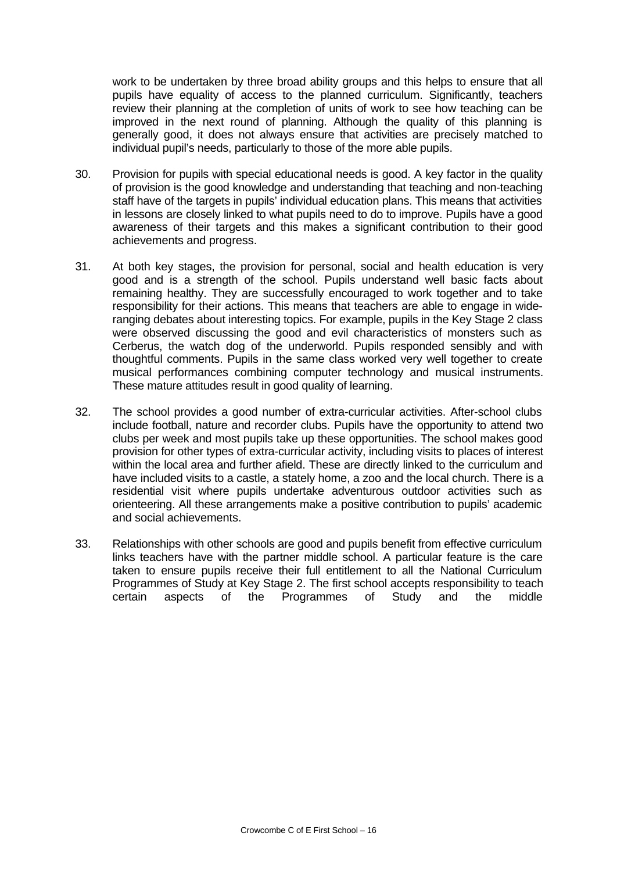work to be undertaken by three broad ability groups and this helps to ensure that all pupils have equality of access to the planned curriculum. Significantly, teachers review their planning at the completion of units of work to see how teaching can be improved in the next round of planning. Although the quality of this planning is generally good, it does not always ensure that activities are precisely matched to individual pupil's needs, particularly to those of the more able pupils.

- 30. Provision for pupils with special educational needs is good. A key factor in the quality of provision is the good knowledge and understanding that teaching and non-teaching staff have of the targets in pupils' individual education plans. This means that activities in lessons are closely linked to what pupils need to do to improve. Pupils have a good awareness of their targets and this makes a significant contribution to their good achievements and progress.
- 31. At both key stages, the provision for personal, social and health education is very good and is a strength of the school. Pupils understand well basic facts about remaining healthy. They are successfully encouraged to work together and to take responsibility for their actions. This means that teachers are able to engage in wideranging debates about interesting topics. For example, pupils in the Key Stage 2 class were observed discussing the good and evil characteristics of monsters such as Cerberus, the watch dog of the underworld. Pupils responded sensibly and with thoughtful comments. Pupils in the same class worked very well together to create musical performances combining computer technology and musical instruments. These mature attitudes result in good quality of learning.
- 32. The school provides a good number of extra-curricular activities. After-school clubs include football, nature and recorder clubs. Pupils have the opportunity to attend two clubs per week and most pupils take up these opportunities. The school makes good provision for other types of extra-curricular activity, including visits to places of interest within the local area and further afield. These are directly linked to the curriculum and have included visits to a castle, a stately home, a zoo and the local church. There is a residential visit where pupils undertake adventurous outdoor activities such as orienteering. All these arrangements make a positive contribution to pupils' academic and social achievements.
- 33. Relationships with other schools are good and pupils benefit from effective curriculum links teachers have with the partner middle school. A particular feature is the care taken to ensure pupils receive their full entitlement to all the National Curriculum Programmes of Study at Key Stage 2. The first school accepts responsibility to teach certain aspects of the Programmes of Study and the middle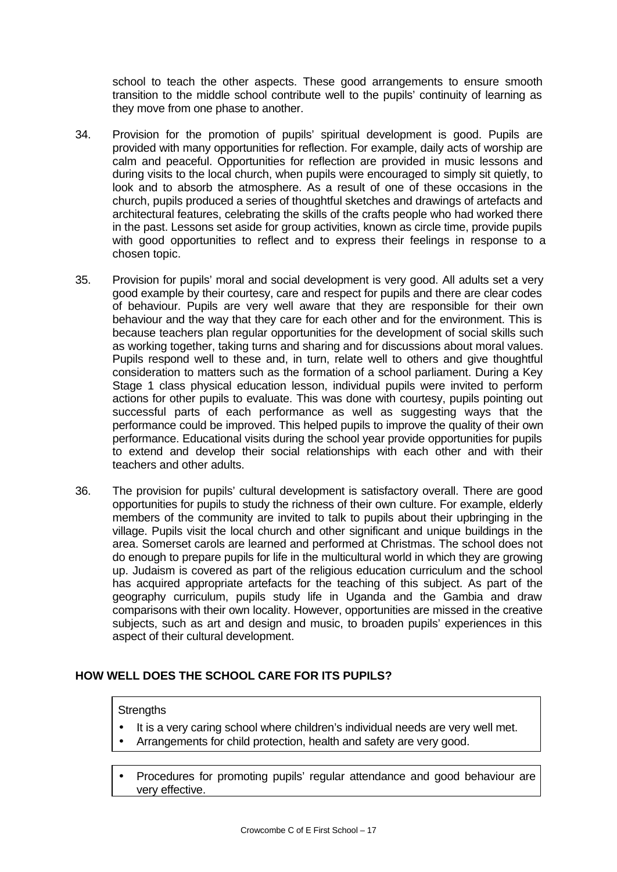school to teach the other aspects. These good arrangements to ensure smooth transition to the middle school contribute well to the pupils' continuity of learning as they move from one phase to another.

- 34. Provision for the promotion of pupils' spiritual development is good. Pupils are provided with many opportunities for reflection. For example, daily acts of worship are calm and peaceful. Opportunities for reflection are provided in music lessons and during visits to the local church, when pupils were encouraged to simply sit quietly, to look and to absorb the atmosphere. As a result of one of these occasions in the church, pupils produced a series of thoughtful sketches and drawings of artefacts and architectural features, celebrating the skills of the crafts people who had worked there in the past. Lessons set aside for group activities, known as circle time, provide pupils with good opportunities to reflect and to express their feelings in response to a chosen topic.
- 35. Provision for pupils' moral and social development is very good. All adults set a very good example by their courtesy, care and respect for pupils and there are clear codes of behaviour. Pupils are very well aware that they are responsible for their own behaviour and the way that they care for each other and for the environment. This is because teachers plan regular opportunities for the development of social skills such as working together, taking turns and sharing and for discussions about moral values. Pupils respond well to these and, in turn, relate well to others and give thoughtful consideration to matters such as the formation of a school parliament. During a Key Stage 1 class physical education lesson, individual pupils were invited to perform actions for other pupils to evaluate. This was done with courtesy, pupils pointing out successful parts of each performance as well as suggesting ways that the performance could be improved. This helped pupils to improve the quality of their own performance. Educational visits during the school year provide opportunities for pupils to extend and develop their social relationships with each other and with their teachers and other adults.
- 36. The provision for pupils' cultural development is satisfactory overall. There are good opportunities for pupils to study the richness of their own culture. For example, elderly members of the community are invited to talk to pupils about their upbringing in the village. Pupils visit the local church and other significant and unique buildings in the area. Somerset carols are learned and performed at Christmas. The school does not do enough to prepare pupils for life in the multicultural world in which they are growing up. Judaism is covered as part of the religious education curriculum and the school has acquired appropriate artefacts for the teaching of this subject. As part of the geography curriculum, pupils study life in Uganda and the Gambia and draw comparisons with their own locality. However, opportunities are missed in the creative subjects, such as art and design and music, to broaden pupils' experiences in this aspect of their cultural development.

## **HOW WELL DOES THE SCHOOL CARE FOR ITS PUPILS?**

### **Strengths**

- It is a very caring school where children's individual needs are very well met.
- Arrangements for child protection, health and safety are very good.
- Procedures for promoting pupils' regular attendance and good behaviour are very effective.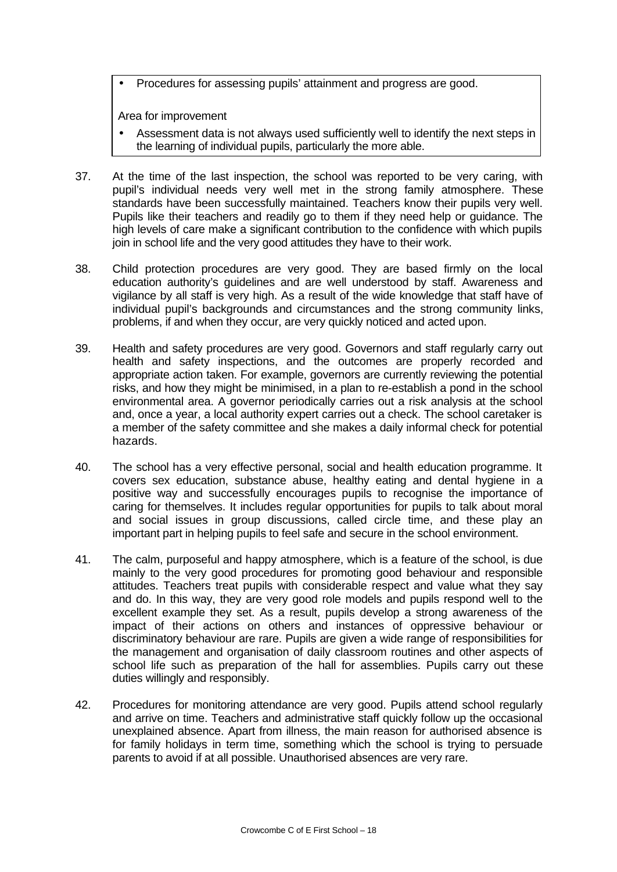• Procedures for assessing pupils' attainment and progress are good.

- Assessment data is not always used sufficiently well to identify the next steps in the learning of individual pupils, particularly the more able.
- 37. At the time of the last inspection, the school was reported to be very caring, with pupil's individual needs very well met in the strong family atmosphere. These standards have been successfully maintained. Teachers know their pupils very well. Pupils like their teachers and readily go to them if they need help or guidance. The high levels of care make a significant contribution to the confidence with which pupils join in school life and the very good attitudes they have to their work.
- 38. Child protection procedures are very good. They are based firmly on the local education authority's guidelines and are well understood by staff. Awareness and vigilance by all staff is very high. As a result of the wide knowledge that staff have of individual pupil's backgrounds and circumstances and the strong community links, problems, if and when they occur, are very quickly noticed and acted upon.
- 39. Health and safety procedures are very good. Governors and staff regularly carry out health and safety inspections, and the outcomes are properly recorded and appropriate action taken. For example, governors are currently reviewing the potential risks, and how they might be minimised, in a plan to re-establish a pond in the school environmental area. A governor periodically carries out a risk analysis at the school and, once a year, a local authority expert carries out a check. The school caretaker is a member of the safety committee and she makes a daily informal check for potential hazards.
- 40. The school has a very effective personal, social and health education programme. It covers sex education, substance abuse, healthy eating and dental hygiene in a positive way and successfully encourages pupils to recognise the importance of caring for themselves. It includes regular opportunities for pupils to talk about moral and social issues in group discussions, called circle time, and these play an important part in helping pupils to feel safe and secure in the school environment.
- 41. The calm, purposeful and happy atmosphere, which is a feature of the school, is due mainly to the very good procedures for promoting good behaviour and responsible attitudes. Teachers treat pupils with considerable respect and value what they say and do. In this way, they are very good role models and pupils respond well to the excellent example they set. As a result, pupils develop a strong awareness of the impact of their actions on others and instances of oppressive behaviour or discriminatory behaviour are rare. Pupils are given a wide range of responsibilities for the management and organisation of daily classroom routines and other aspects of school life such as preparation of the hall for assemblies. Pupils carry out these duties willingly and responsibly.
- 42. Procedures for monitoring attendance are very good. Pupils attend school regularly and arrive on time. Teachers and administrative staff quickly follow up the occasional unexplained absence. Apart from illness, the main reason for authorised absence is for family holidays in term time, something which the school is trying to persuade parents to avoid if at all possible. Unauthorised absences are very rare.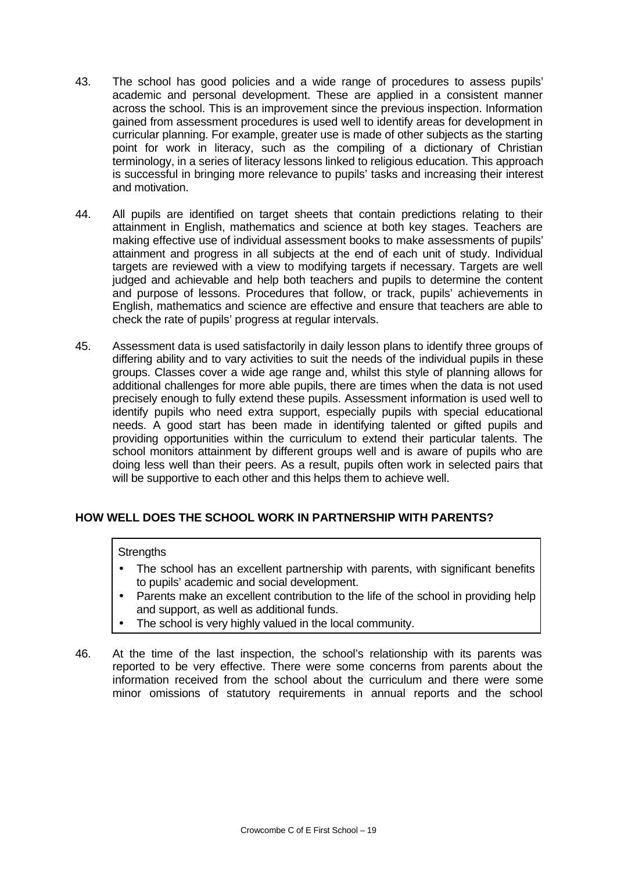- 43. The school has good policies and a wide range of procedures to assess pupils' academic and personal development. These are applied in a consistent manner across the school. This is an improvement since the previous inspection. Information gained from assessment procedures is used well to identify areas for development in curricular planning. For example, greater use is made of other subjects as the starting point for work in literacy, such as the compiling of a dictionary of Christian terminology, in a series of literacy lessons linked to religious education. This approach is successful in bringing more relevance to pupils' tasks and increasing their interest and motivation.
- 44. All pupils are identified on target sheets that contain predictions relating to their attainment in English, mathematics and science at both key stages. Teachers are making effective use of individual assessment books to make assessments of pupils' attainment and progress in all subjects at the end of each unit of study. Individual targets are reviewed with a view to modifying targets if necessary. Targets are well judged and achievable and help both teachers and pupils to determine the content and purpose of lessons. Procedures that follow, or track, pupils' achievements in English, mathematics and science are effective and ensure that teachers are able to check the rate of pupils' progress at regular intervals.
- 45. Assessment data is used satisfactorily in daily lesson plans to identify three groups of differing ability and to vary activities to suit the needs of the individual pupils in these groups. Classes cover a wide age range and, whilst this style of planning allows for additional challenges for more able pupils, there are times when the data is not used precisely enough to fully extend these pupils. Assessment information is used well to identify pupils who need extra support, especially pupils with special educational needs. A good start has been made in identifying talented or gifted pupils and providing opportunities within the curriculum to extend their particular talents. The school monitors attainment by different groups well and is aware of pupils who are doing less well than their peers. As a result, pupils often work in selected pairs that will be supportive to each other and this helps them to achieve well.

## **HOW WELL DOES THE SCHOOL WORK IN PARTNERSHIP WITH PARENTS?**

### **Strengths**

- The school has an excellent partnership with parents, with significant benefits to pupils' academic and social development.
- Parents make an excellent contribution to the life of the school in providing help and support, as well as additional funds.
- The school is very highly valued in the local community.
- 46. At the time of the last inspection, the school's relationship with its parents was reported to be very effective. There were some concerns from parents about the information received from the school about the curriculum and there were some minor omissions of statutory requirements in annual reports and the school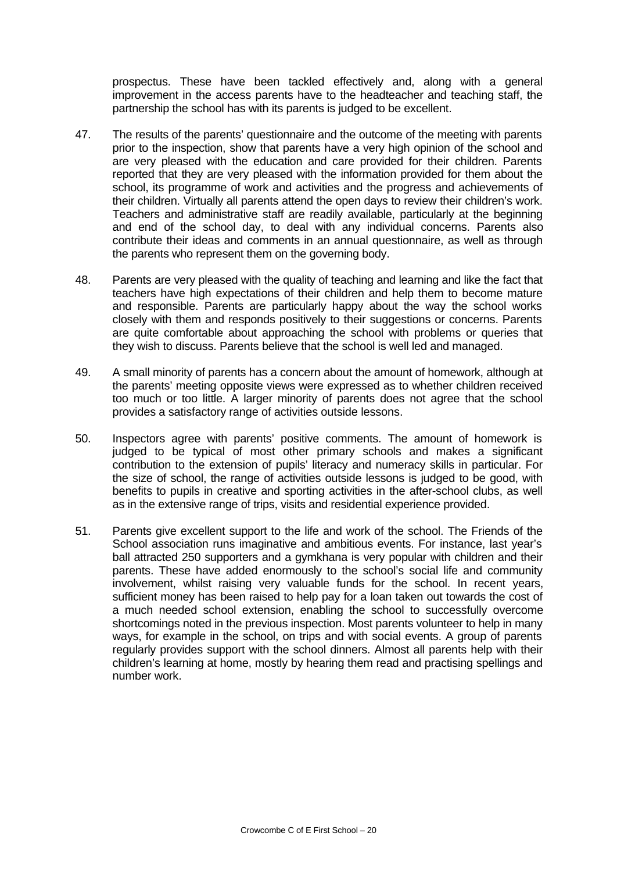prospectus. These have been tackled effectively and, along with a general improvement in the access parents have to the headteacher and teaching staff, the partnership the school has with its parents is judged to be excellent.

- 47. The results of the parents' questionnaire and the outcome of the meeting with parents prior to the inspection, show that parents have a very high opinion of the school and are very pleased with the education and care provided for their children. Parents reported that they are very pleased with the information provided for them about the school, its programme of work and activities and the progress and achievements of their children. Virtually all parents attend the open days to review their children's work. Teachers and administrative staff are readily available, particularly at the beginning and end of the school day, to deal with any individual concerns. Parents also contribute their ideas and comments in an annual questionnaire, as well as through the parents who represent them on the governing body.
- 48. Parents are very pleased with the quality of teaching and learning and like the fact that teachers have high expectations of their children and help them to become mature and responsible. Parents are particularly happy about the way the school works closely with them and responds positively to their suggestions or concerns. Parents are quite comfortable about approaching the school with problems or queries that they wish to discuss. Parents believe that the school is well led and managed.
- 49. A small minority of parents has a concern about the amount of homework, although at the parents' meeting opposite views were expressed as to whether children received too much or too little. A larger minority of parents does not agree that the school provides a satisfactory range of activities outside lessons.
- 50. Inspectors agree with parents' positive comments. The amount of homework is judged to be typical of most other primary schools and makes a significant contribution to the extension of pupils' literacy and numeracy skills in particular. For the size of school, the range of activities outside lessons is judged to be good, with benefits to pupils in creative and sporting activities in the after-school clubs, as well as in the extensive range of trips, visits and residential experience provided.
- 51. Parents give excellent support to the life and work of the school. The Friends of the School association runs imaginative and ambitious events. For instance, last year's ball attracted 250 supporters and a gymkhana is very popular with children and their parents. These have added enormously to the school's social life and community involvement, whilst raising very valuable funds for the school. In recent years, sufficient money has been raised to help pay for a loan taken out towards the cost of a much needed school extension, enabling the school to successfully overcome shortcomings noted in the previous inspection. Most parents volunteer to help in many ways, for example in the school, on trips and with social events. A group of parents regularly provides support with the school dinners. Almost all parents help with their children's learning at home, mostly by hearing them read and practising spellings and number work.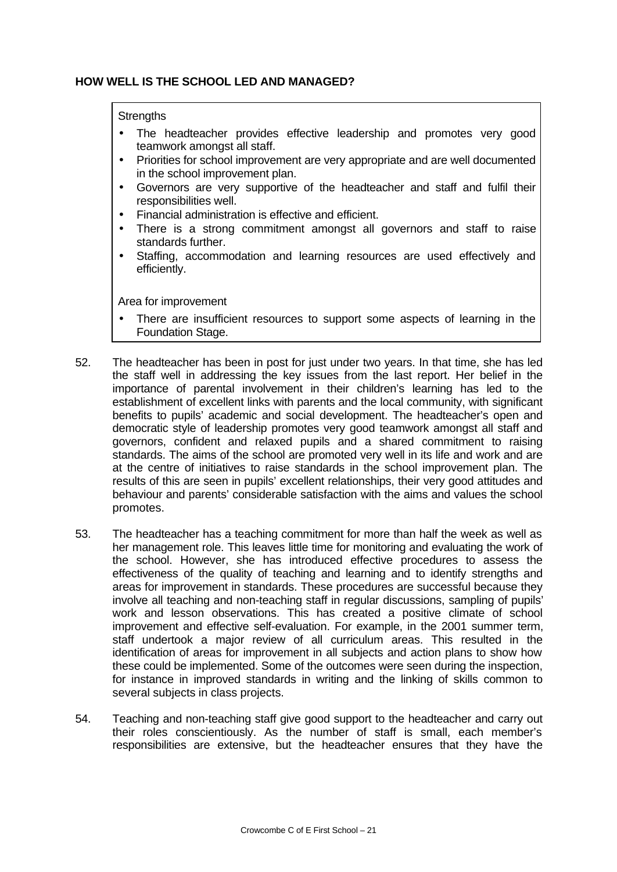## **HOW WELL IS THE SCHOOL LED AND MANAGED?**

### **Strengths**

- The headteacher provides effective leadership and promotes very good teamwork amongst all staff.
- Priorities for school improvement are very appropriate and are well documented in the school improvement plan.
- Governors are very supportive of the headteacher and staff and fulfil their responsibilities well.
- Financial administration is effective and efficient.
- There is a strong commitment amongst all governors and staff to raise standards further.
- Staffing, accommodation and learning resources are used effectively and efficiently.

- There are insufficient resources to support some aspects of learning in the Foundation Stage.
- 52. The headteacher has been in post for just under two years. In that time, she has led the staff well in addressing the key issues from the last report. Her belief in the importance of parental involvement in their children's learning has led to the establishment of excellent links with parents and the local community, with significant benefits to pupils' academic and social development. The headteacher's open and democratic style of leadership promotes very good teamwork amongst all staff and governors, confident and relaxed pupils and a shared commitment to raising standards. The aims of the school are promoted very well in its life and work and are at the centre of initiatives to raise standards in the school improvement plan. The results of this are seen in pupils' excellent relationships, their very good attitudes and behaviour and parents' considerable satisfaction with the aims and values the school promotes.
- 53. The headteacher has a teaching commitment for more than half the week as well as her management role. This leaves little time for monitoring and evaluating the work of the school. However, she has introduced effective procedures to assess the effectiveness of the quality of teaching and learning and to identify strengths and areas for improvement in standards. These procedures are successful because they involve all teaching and non-teaching staff in regular discussions, sampling of pupils' work and lesson observations. This has created a positive climate of school improvement and effective self-evaluation. For example, in the 2001 summer term, staff undertook a major review of all curriculum areas. This resulted in the identification of areas for improvement in all subjects and action plans to show how these could be implemented. Some of the outcomes were seen during the inspection, for instance in improved standards in writing and the linking of skills common to several subjects in class projects.
- 54. Teaching and non-teaching staff give good support to the headteacher and carry out their roles conscientiously. As the number of staff is small, each member's responsibilities are extensive, but the headteacher ensures that they have the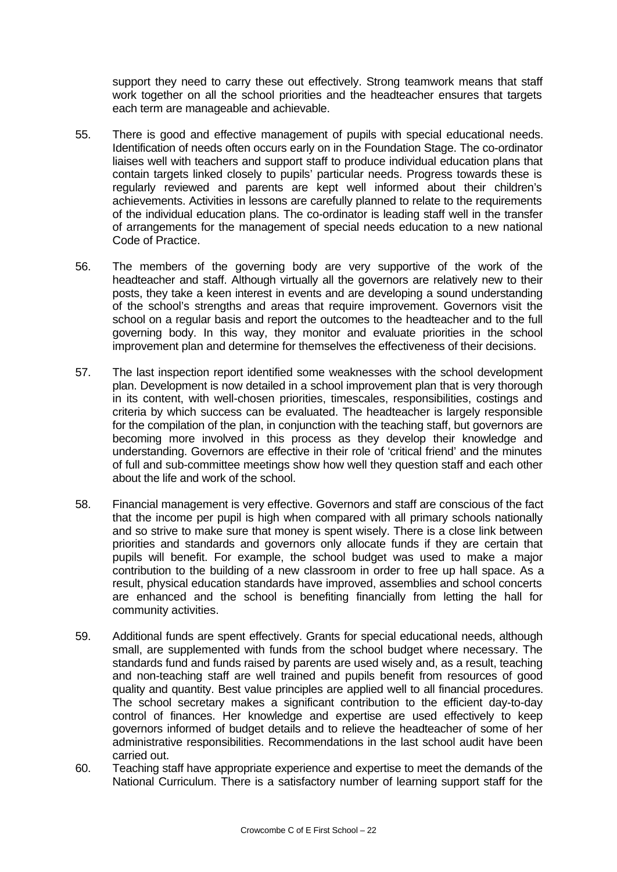support they need to carry these out effectively. Strong teamwork means that staff work together on all the school priorities and the headteacher ensures that targets each term are manageable and achievable.

- 55. There is good and effective management of pupils with special educational needs. Identification of needs often occurs early on in the Foundation Stage. The co-ordinator liaises well with teachers and support staff to produce individual education plans that contain targets linked closely to pupils' particular needs. Progress towards these is regularly reviewed and parents are kept well informed about their children's achievements. Activities in lessons are carefully planned to relate to the requirements of the individual education plans. The co-ordinator is leading staff well in the transfer of arrangements for the management of special needs education to a new national Code of Practice.
- 56. The members of the governing body are very supportive of the work of the headteacher and staff. Although virtually all the governors are relatively new to their posts, they take a keen interest in events and are developing a sound understanding of the school's strengths and areas that require improvement. Governors visit the school on a regular basis and report the outcomes to the headteacher and to the full governing body. In this way, they monitor and evaluate priorities in the school improvement plan and determine for themselves the effectiveness of their decisions.
- 57. The last inspection report identified some weaknesses with the school development plan. Development is now detailed in a school improvement plan that is very thorough in its content, with well-chosen priorities, timescales, responsibilities, costings and criteria by which success can be evaluated. The headteacher is largely responsible for the compilation of the plan, in conjunction with the teaching staff, but governors are becoming more involved in this process as they develop their knowledge and understanding. Governors are effective in their role of 'critical friend' and the minutes of full and sub-committee meetings show how well they question staff and each other about the life and work of the school.
- 58. Financial management is very effective. Governors and staff are conscious of the fact that the income per pupil is high when compared with all primary schools nationally and so strive to make sure that money is spent wisely. There is a close link between priorities and standards and governors only allocate funds if they are certain that pupils will benefit. For example, the school budget was used to make a major contribution to the building of a new classroom in order to free up hall space. As a result, physical education standards have improved, assemblies and school concerts are enhanced and the school is benefiting financially from letting the hall for community activities.
- 59. Additional funds are spent effectively. Grants for special educational needs, although small, are supplemented with funds from the school budget where necessary. The standards fund and funds raised by parents are used wisely and, as a result, teaching and non-teaching staff are well trained and pupils benefit from resources of good quality and quantity. Best value principles are applied well to all financial procedures. The school secretary makes a significant contribution to the efficient day-to-day control of finances. Her knowledge and expertise are used effectively to keep governors informed of budget details and to relieve the headteacher of some of her administrative responsibilities. Recommendations in the last school audit have been carried out.
- 60. Teaching staff have appropriate experience and expertise to meet the demands of the National Curriculum. There is a satisfactory number of learning support staff for the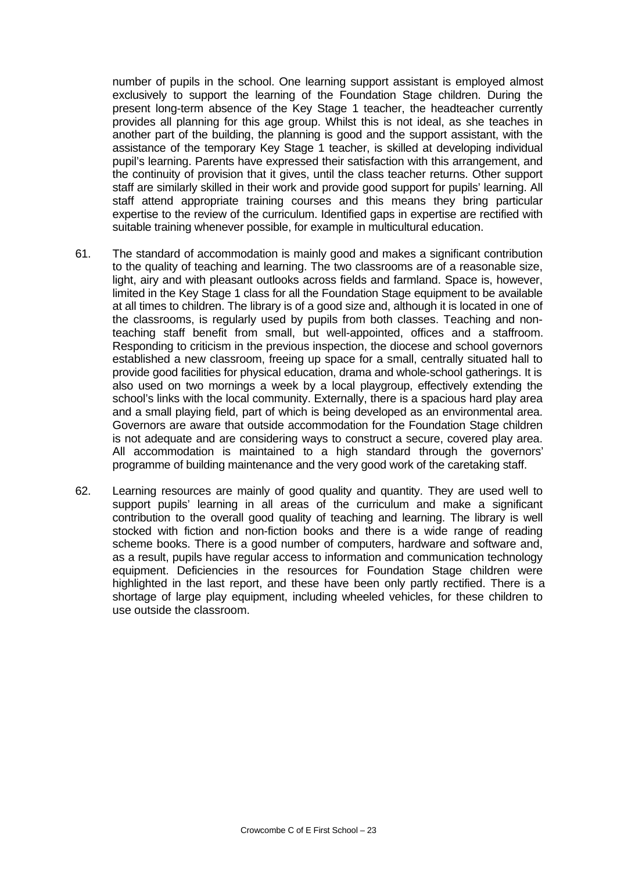number of pupils in the school. One learning support assistant is employed almost exclusively to support the learning of the Foundation Stage children. During the present long-term absence of the Key Stage 1 teacher, the headteacher currently provides all planning for this age group. Whilst this is not ideal, as she teaches in another part of the building, the planning is good and the support assistant, with the assistance of the temporary Key Stage 1 teacher, is skilled at developing individual pupil's learning. Parents have expressed their satisfaction with this arrangement, and the continuity of provision that it gives, until the class teacher returns. Other support staff are similarly skilled in their work and provide good support for pupils' learning. All staff attend appropriate training courses and this means they bring particular expertise to the review of the curriculum. Identified gaps in expertise are rectified with suitable training whenever possible, for example in multicultural education.

- 61. The standard of accommodation is mainly good and makes a significant contribution to the quality of teaching and learning. The two classrooms are of a reasonable size, light, airy and with pleasant outlooks across fields and farmland. Space is, however, limited in the Key Stage 1 class for all the Foundation Stage equipment to be available at all times to children. The library is of a good size and, although it is located in one of the classrooms, is regularly used by pupils from both classes. Teaching and nonteaching staff benefit from small, but well-appointed, offices and a staffroom. Responding to criticism in the previous inspection, the diocese and school governors established a new classroom, freeing up space for a small, centrally situated hall to provide good facilities for physical education, drama and whole-school gatherings. It is also used on two mornings a week by a local playgroup, effectively extending the school's links with the local community. Externally, there is a spacious hard play area and a small playing field, part of which is being developed as an environmental area. Governors are aware that outside accommodation for the Foundation Stage children is not adequate and are considering ways to construct a secure, covered play area. All accommodation is maintained to a high standard through the governors' programme of building maintenance and the very good work of the caretaking staff.
- 62. Learning resources are mainly of good quality and quantity. They are used well to support pupils' learning in all areas of the curriculum and make a significant contribution to the overall good quality of teaching and learning. The library is well stocked with fiction and non-fiction books and there is a wide range of reading scheme books. There is a good number of computers, hardware and software and, as a result, pupils have regular access to information and communication technology equipment. Deficiencies in the resources for Foundation Stage children were highlighted in the last report, and these have been only partly rectified. There is a shortage of large play equipment, including wheeled vehicles, for these children to use outside the classroom.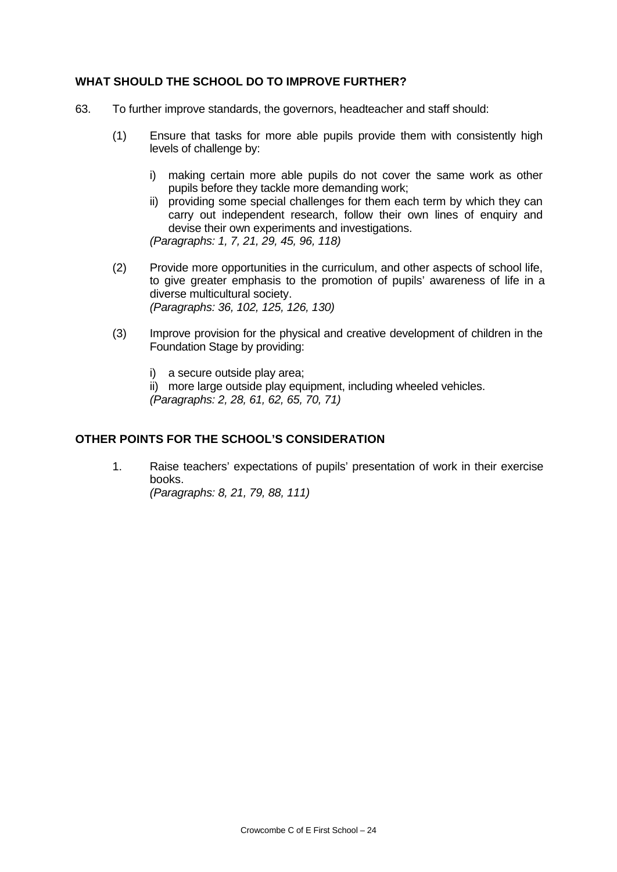## **WHAT SHOULD THE SCHOOL DO TO IMPROVE FURTHER?**

- 63. To further improve standards, the governors, headteacher and staff should:
	- (1) Ensure that tasks for more able pupils provide them with consistently high levels of challenge by:
		- i) making certain more able pupils do not cover the same work as other pupils before they tackle more demanding work;
		- ii) providing some special challenges for them each term by which they can carry out independent research, follow their own lines of enquiry and devise their own experiments and investigations. *(Paragraphs: 1, 7, 21, 29, 45, 96, 118)*
	- (2) Provide more opportunities in the curriculum, and other aspects of school life, to give greater emphasis to the promotion of pupils' awareness of life in a diverse multicultural society. *(Paragraphs: 36, 102, 125, 126, 130)*
	- (3) Improve provision for the physical and creative development of children in the Foundation Stage by providing:
		- i) a secure outside play area;
		- ii) more large outside play equipment, including wheeled vehicles.

*(Paragraphs: 2, 28, 61, 62, 65, 70, 71)*

# **OTHER POINTS FOR THE SCHOOL'S CONSIDERATION**

1. Raise teachers' expectations of pupils' presentation of work in their exercise books. *(Paragraphs: 8, 21, 79, 88, 111)*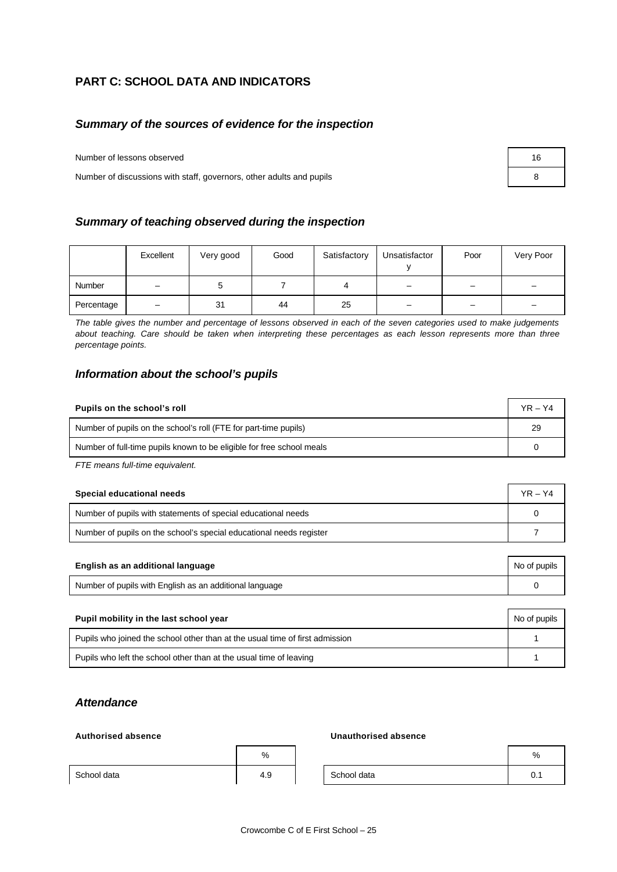# **PART C: SCHOOL DATA AND INDICATORS**

## *Summary of the sources of evidence for the inspection*

Number of lessons observed 16

Number of discussions with staff, governors, other adults and pupils 8

### *Summary of teaching observed during the inspection*

|            | Excellent                | Very good | Good | Satisfactory | Unsatisfactor | Poor     | Very Poor |
|------------|--------------------------|-----------|------|--------------|---------------|----------|-----------|
| Number     | $\overline{\phantom{0}}$ |           |      |              |               | $\equiv$ |           |
| Percentage | $\overline{\phantom{0}}$ | 31        | 44   | 25           | -             | -        |           |

*The table gives the number and percentage of lessons observed in each of the seven categories used to make judgements about teaching. Care should be taken when interpreting these percentages as each lesson represents more than three percentage points.*

### *Information about the school's pupils*

| Pupils on the school's roll                                           | $YR - Y4$ |
|-----------------------------------------------------------------------|-----------|
| Number of pupils on the school's roll (FTE for part-time pupils)      | 29        |
| Number of full-time pupils known to be eligible for free school meals |           |

*FTE means full-time equivalent.*

| Special educational needs                                           | $YR - Y4$ |
|---------------------------------------------------------------------|-----------|
| Number of pupils with statements of special educational needs       |           |
| Number of pupils on the school's special educational needs register |           |

| English as an additional language                       | No of pupils |
|---------------------------------------------------------|--------------|
| Number of pupils with English as an additional language |              |

| Pupil mobility in the last school year                                       | No of pupils |
|------------------------------------------------------------------------------|--------------|
| Pupils who joined the school other than at the usual time of first admission |              |
| Pupils who left the school other than at the usual time of leaving           |              |

## *Attendance*

### **Authorised absence Unauthorised absence**

|             | %   |             | %  |
|-------------|-----|-------------|----|
| School data | 4.9 | School data | v. |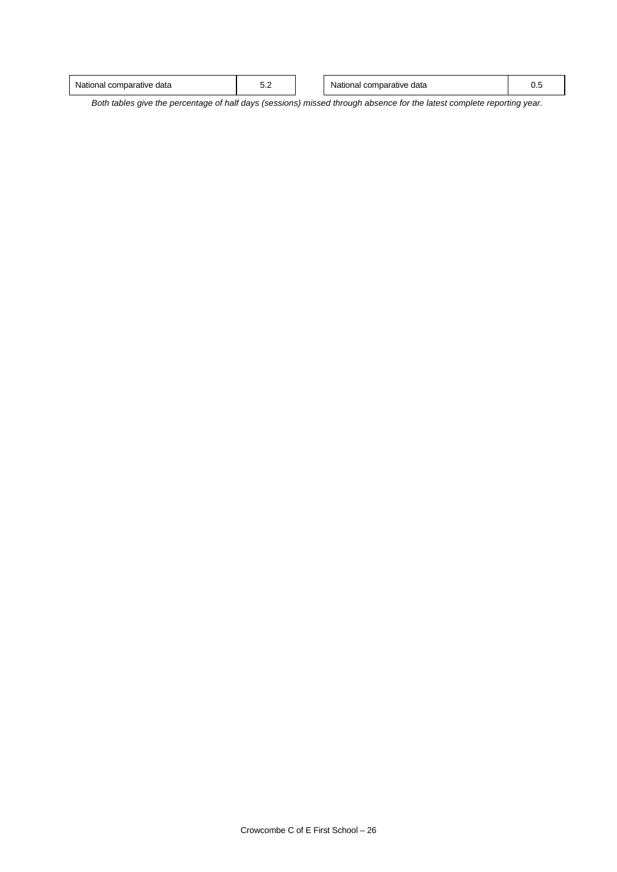| data<br>comparative<br>data<br>mparative<br>National<br>≂or<br>uonai<br>v.J<br>v.c<br>.<br>.<br>.<br>. |
|--------------------------------------------------------------------------------------------------------|
|--------------------------------------------------------------------------------------------------------|

*Both tables give the percentage of half days (sessions) missed through absence for the latest complete reporting year.*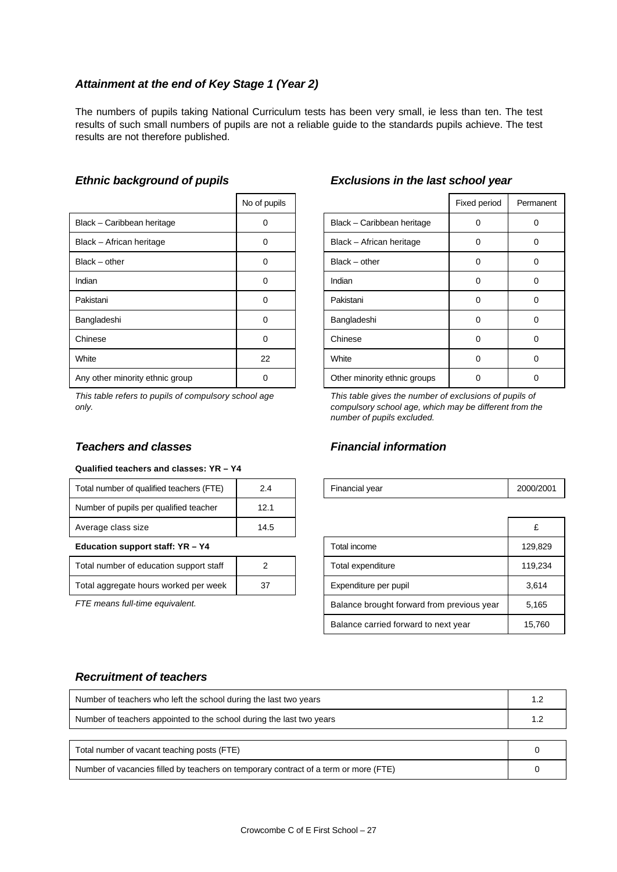# *Attainment at the end of Key Stage 1 (Year 2)*

The numbers of pupils taking National Curriculum tests has been very small, ie less than ten. The test results of such small numbers of pupils are not a reliable guide to the standards pupils achieve. The test results are not therefore published.

|                                 | No of pupils |                              | Fixed period | Perma    |
|---------------------------------|--------------|------------------------------|--------------|----------|
| Black - Caribbean heritage      | 0            | Black - Caribbean heritage   | 0            | 0        |
| Black - African heritage        | 0            | Black - African heritage     | 0            | 0        |
| $Black - other$                 | $\Omega$     | $Black - other$              | 0            | 0        |
| Indian                          | $\Omega$     | Indian                       | 0            | 0        |
| Pakistani                       | 0            | Pakistani                    | 0            | 0        |
| Bangladeshi                     | 0            | Bangladeshi                  | 0            | $\Omega$ |
| Chinese                         | 0            | Chinese                      | 0            | 0        |
| White                           | 22           | White                        | 0            | 0        |
| Any other minority ethnic group | 0            | Other minority ethnic groups | 0            | 0        |

*This table refers to pupils of compulsory school age only.*

## *Teachers and classes Financial information*

### **Qualified teachers and classes: YR – Y4**

| Education support staff: YR - Y4         |      | Total income   | 129.  |
|------------------------------------------|------|----------------|-------|
| Average class size                       | 14.5 |                | £     |
| Number of pupils per qualified teacher   | 12.1 |                |       |
| Total number of qualified teachers (FTE) | 2.4  | Financial year | 2000/ |

| Total number of education support staff |    |
|-----------------------------------------|----|
| Total aggregate hours worked per week   | 37 |

| No of pupils |                            | Fixed period | Permanent |
|--------------|----------------------------|--------------|-----------|
|              | Black - Caribbean heritage |              |           |
|              | Black - African heritage   |              |           |
|              | Black - other              |              |           |
|              | Indian                     |              |           |
|              | Pakistani                  |              |           |
|              | Bangladeshi                |              |           |
|              | Chinese                    |              |           |
| $\sim$       | $M/L_{\rm max}$            | $\sim$       | $\sim$    |

### *Ethnic background of pupils Exclusions in the last school year*

*This table gives the number of exclusions of pupils of compulsory school age, which may be different from the number of pupils excluded.*

| Total number of qualified teachers (FTE) | 2.4  | Financial year                             | 2000/2001 |
|------------------------------------------|------|--------------------------------------------|-----------|
| Number of pupils per qualified teacher   | 12.1 |                                            |           |
| Average class size                       | 14.5 |                                            | £         |
| Education support staff: YR - Y4         |      | Total income                               | 129.829   |
| Total number of education support staff  | 2    | Total expenditure                          | 119,234   |
| Total aggregate hours worked per week    | 37   | Expenditure per pupil                      | 3,614     |
| FTE means full-time equivalent.          |      | Balance brought forward from previous year | 5.165     |
|                                          |      | Balance carried forward to next year       | 15.760    |

## *Recruitment of teachers*

| Number of teachers who left the school during the last two years                     | 1.2 |
|--------------------------------------------------------------------------------------|-----|
| Number of teachers appointed to the school during the last two years                 | 1.2 |
|                                                                                      |     |
| Total number of vacant teaching posts (FTE)                                          |     |
| Number of vacancies filled by teachers on temporary contract of a term or more (FTE) |     |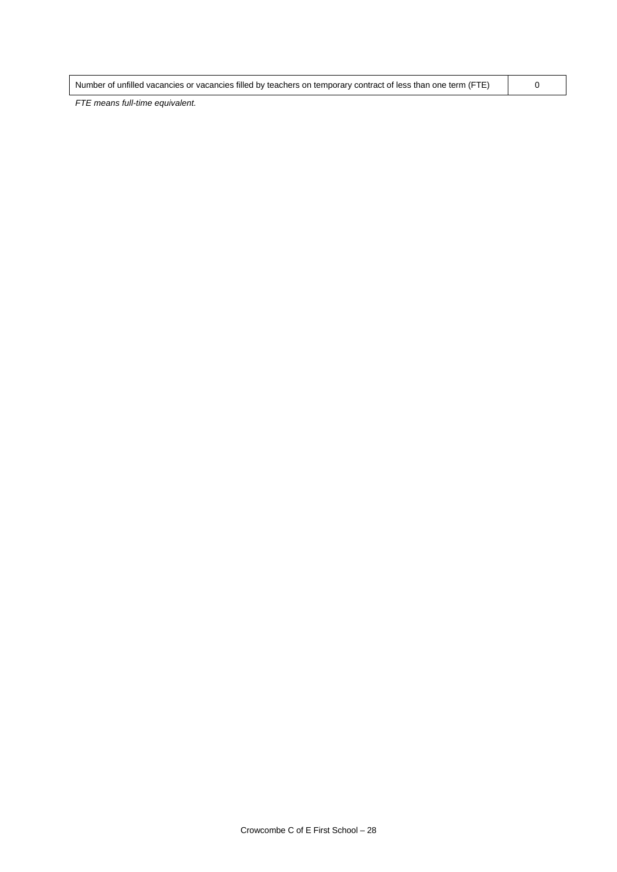| Number of unfilled vacancies or vacancies filled by teachers on temporary contract of less than one term (FTE) |  |
|----------------------------------------------------------------------------------------------------------------|--|
|                                                                                                                |  |

*FTE means full-time equivalent.*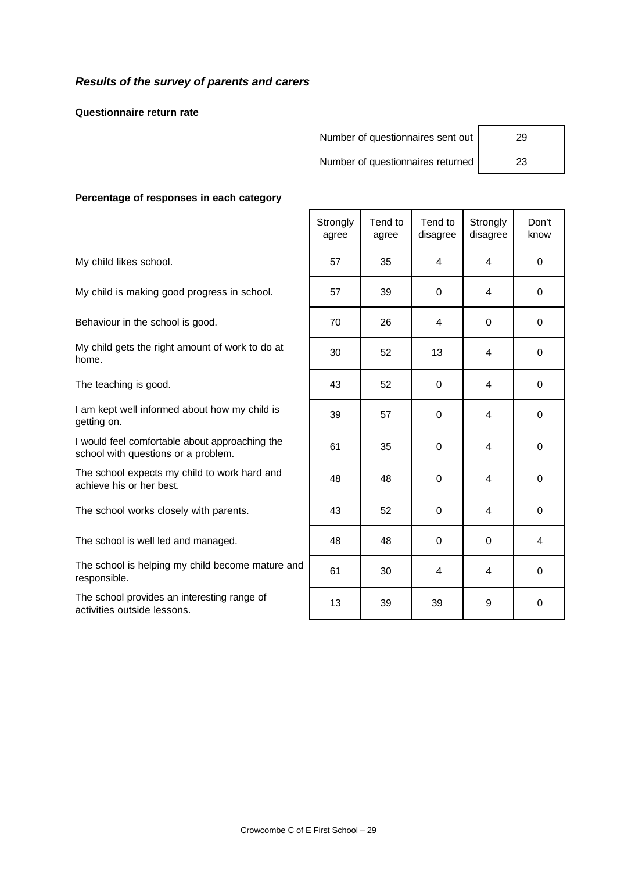## *Results of the survey of parents and carers*

**Questionnaire return rate**

Number of questionnaires sent out | 29

Number of questionnaires returned | 23

### **Percentage of responses in each category**

|                                                                                       | Strongly<br>agree | Tend to<br>agree | Tend to<br>disagree | Strongly<br>disagree | Don't<br>know |
|---------------------------------------------------------------------------------------|-------------------|------------------|---------------------|----------------------|---------------|
| My child likes school.                                                                | 57                | 35               | 4                   | $\overline{4}$       | $\mathbf 0$   |
| My child is making good progress in school.                                           | 57                | 39               | 0                   | 4                    | 0             |
| Behaviour in the school is good.                                                      | 70                | 26               | 4                   | $\Omega$             | $\mathbf 0$   |
| My child gets the right amount of work to do at<br>home.                              | 30                | 52               | 13                  | 4                    | $\mathbf 0$   |
| The teaching is good.                                                                 | 43                | 52               | $\Omega$            | 4                    | $\mathbf 0$   |
| I am kept well informed about how my child is<br>getting on.                          | 39                | 57               | 0                   | 4                    | 0             |
| I would feel comfortable about approaching the<br>school with questions or a problem. | 61                | 35               | $\mathbf 0$         | $\overline{4}$       | $\mathbf 0$   |
| The school expects my child to work hard and<br>achieve his or her best.              | 48                | 48               | $\mathbf 0$         | 4                    | 0             |
| The school works closely with parents.                                                | 43                | 52               | 0                   | 4                    | 0             |
| The school is well led and managed.                                                   | 48                | 48               | $\mathbf 0$         | $\Omega$             | 4             |
| The school is helping my child become mature and<br>responsible.                      | 61                | 30               | 4                   | $\overline{4}$       | 0             |
| The school provides an interesting range of<br>activities outside lessons.            | 13                | 39               | 39                  | 9                    | 0             |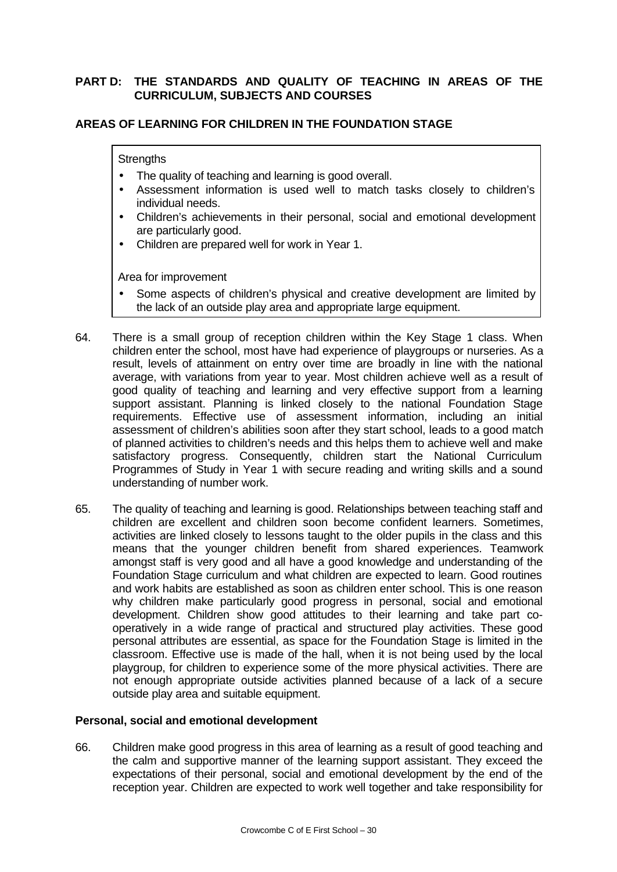## **PART D: THE STANDARDS AND QUALITY OF TEACHING IN AREAS OF THE CURRICULUM, SUBJECTS AND COURSES**

## **AREAS OF LEARNING FOR CHILDREN IN THE FOUNDATION STAGE**

### **Strengths**

- The quality of teaching and learning is good overall.
- Assessment information is used well to match tasks closely to children's individual needs.
- Children's achievements in their personal, social and emotional development are particularly good.
- Children are prepared well for work in Year 1.

Area for improvement

- Some aspects of children's physical and creative development are limited by the lack of an outside play area and appropriate large equipment.
- 64. There is a small group of reception children within the Key Stage 1 class. When children enter the school, most have had experience of playgroups or nurseries. As a result, levels of attainment on entry over time are broadly in line with the national average, with variations from year to year. Most children achieve well as a result of good quality of teaching and learning and very effective support from a learning support assistant. Planning is linked closely to the national Foundation Stage requirements. Effective use of assessment information, including an initial assessment of children's abilities soon after they start school, leads to a good match of planned activities to children's needs and this helps them to achieve well and make satisfactory progress. Consequently, children start the National Curriculum Programmes of Study in Year 1 with secure reading and writing skills and a sound understanding of number work.
- 65. The quality of teaching and learning is good. Relationships between teaching staff and children are excellent and children soon become confident learners. Sometimes, activities are linked closely to lessons taught to the older pupils in the class and this means that the younger children benefit from shared experiences. Teamwork amongst staff is very good and all have a good knowledge and understanding of the Foundation Stage curriculum and what children are expected to learn. Good routines and work habits are established as soon as children enter school. This is one reason why children make particularly good progress in personal, social and emotional development. Children show good attitudes to their learning and take part cooperatively in a wide range of practical and structured play activities. These good personal attributes are essential, as space for the Foundation Stage is limited in the classroom. Effective use is made of the hall, when it is not being used by the local playgroup, for children to experience some of the more physical activities. There are not enough appropriate outside activities planned because of a lack of a secure outside play area and suitable equipment.

### **Personal, social and emotional development**

66. Children make good progress in this area of learning as a result of good teaching and the calm and supportive manner of the learning support assistant. They exceed the expectations of their personal, social and emotional development by the end of the reception year. Children are expected to work well together and take responsibility for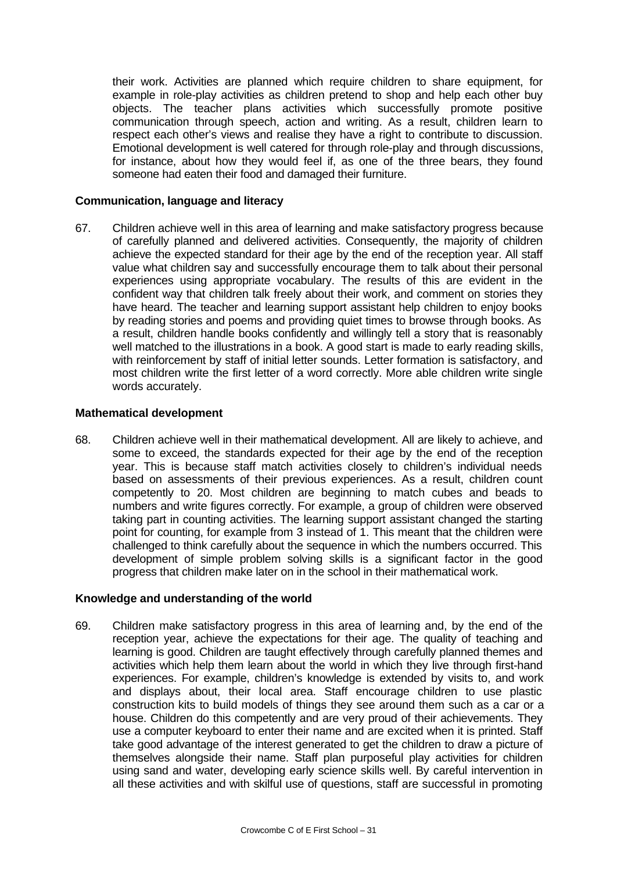their work. Activities are planned which require children to share equipment, for example in role-play activities as children pretend to shop and help each other buy objects. The teacher plans activities which successfully promote positive communication through speech, action and writing. As a result, children learn to respect each other's views and realise they have a right to contribute to discussion. Emotional development is well catered for through role-play and through discussions, for instance, about how they would feel if, as one of the three bears, they found someone had eaten their food and damaged their furniture.

### **Communication, language and literacy**

67. Children achieve well in this area of learning and make satisfactory progress because of carefully planned and delivered activities. Consequently, the majority of children achieve the expected standard for their age by the end of the reception year. All staff value what children say and successfully encourage them to talk about their personal experiences using appropriate vocabulary. The results of this are evident in the confident way that children talk freely about their work, and comment on stories they have heard. The teacher and learning support assistant help children to enjoy books by reading stories and poems and providing quiet times to browse through books. As a result, children handle books confidently and willingly tell a story that is reasonably well matched to the illustrations in a book. A good start is made to early reading skills, with reinforcement by staff of initial letter sounds. Letter formation is satisfactory, and most children write the first letter of a word correctly. More able children write single words accurately.

### **Mathematical development**

68. Children achieve well in their mathematical development. All are likely to achieve, and some to exceed, the standards expected for their age by the end of the reception year. This is because staff match activities closely to children's individual needs based on assessments of their previous experiences. As a result, children count competently to 20. Most children are beginning to match cubes and beads to numbers and write figures correctly. For example, a group of children were observed taking part in counting activities. The learning support assistant changed the starting point for counting, for example from 3 instead of 1. This meant that the children were challenged to think carefully about the sequence in which the numbers occurred. This development of simple problem solving skills is a significant factor in the good progress that children make later on in the school in their mathematical work.

## **Knowledge and understanding of the world**

69. Children make satisfactory progress in this area of learning and, by the end of the reception year, achieve the expectations for their age. The quality of teaching and learning is good. Children are taught effectively through carefully planned themes and activities which help them learn about the world in which they live through first-hand experiences. For example, children's knowledge is extended by visits to, and work and displays about, their local area. Staff encourage children to use plastic construction kits to build models of things they see around them such as a car or a house. Children do this competently and are very proud of their achievements. They use a computer keyboard to enter their name and are excited when it is printed. Staff take good advantage of the interest generated to get the children to draw a picture of themselves alongside their name. Staff plan purposeful play activities for children using sand and water, developing early science skills well. By careful intervention in all these activities and with skilful use of questions, staff are successful in promoting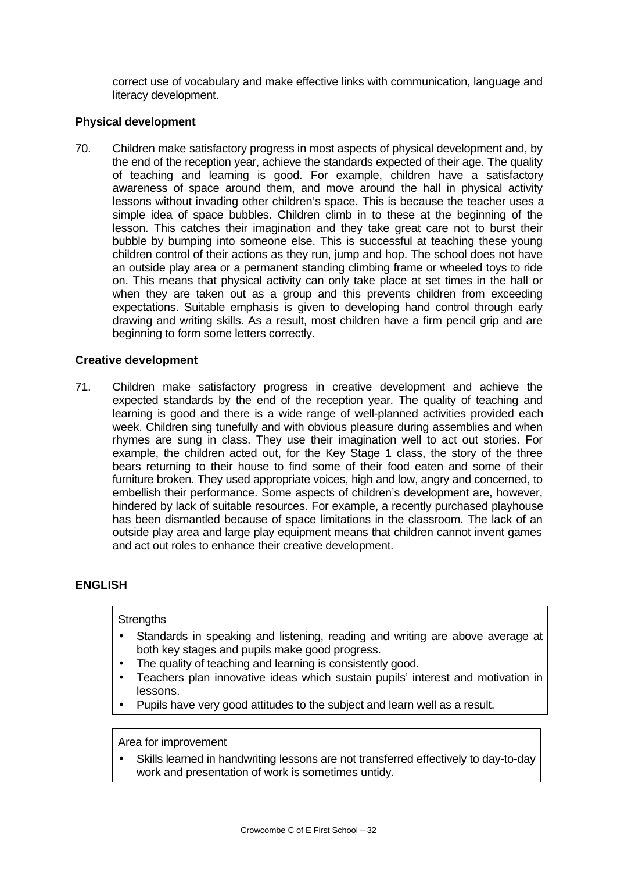correct use of vocabulary and make effective links with communication, language and literacy development.

## **Physical development**

70. Children make satisfactory progress in most aspects of physical development and, by the end of the reception year, achieve the standards expected of their age. The quality of teaching and learning is good. For example, children have a satisfactory awareness of space around them, and move around the hall in physical activity lessons without invading other children's space. This is because the teacher uses a simple idea of space bubbles. Children climb in to these at the beginning of the lesson. This catches their imagination and they take great care not to burst their bubble by bumping into someone else. This is successful at teaching these young children control of their actions as they run, jump and hop. The school does not have an outside play area or a permanent standing climbing frame or wheeled toys to ride on. This means that physical activity can only take place at set times in the hall or when they are taken out as a group and this prevents children from exceeding expectations. Suitable emphasis is given to developing hand control through early drawing and writing skills. As a result, most children have a firm pencil grip and are beginning to form some letters correctly.

## **Creative development**

71. Children make satisfactory progress in creative development and achieve the expected standards by the end of the reception year. The quality of teaching and learning is good and there is a wide range of well-planned activities provided each week. Children sing tunefully and with obvious pleasure during assemblies and when rhymes are sung in class. They use their imagination well to act out stories. For example, the children acted out, for the Key Stage 1 class, the story of the three bears returning to their house to find some of their food eaten and some of their furniture broken. They used appropriate voices, high and low, angry and concerned, to embellish their performance. Some aspects of children's development are, however, hindered by lack of suitable resources. For example, a recently purchased playhouse has been dismantled because of space limitations in the classroom. The lack of an outside play area and large play equipment means that children cannot invent games and act out roles to enhance their creative development.

## **ENGLISH**

### **Strengths**

- Standards in speaking and listening, reading and writing are above average at both key stages and pupils make good progress.
- The quality of teaching and learning is consistently good.
- Teachers plan innovative ideas which sustain pupils' interest and motivation in lessons.
- Pupils have very good attitudes to the subject and learn well as a result.

### Area for improvement

• Skills learned in handwriting lessons are not transferred effectively to day-to-day work and presentation of work is sometimes untidy.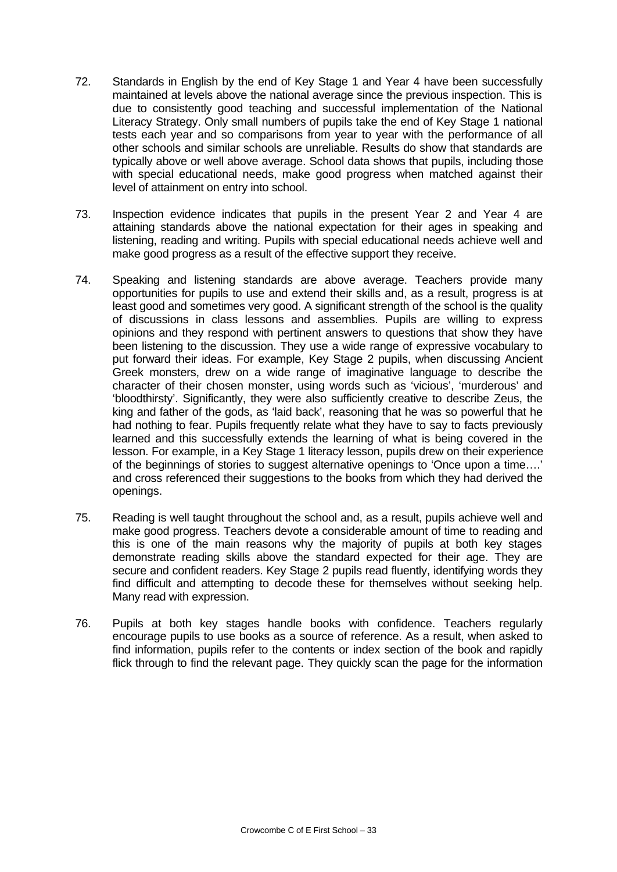- 72. Standards in English by the end of Key Stage 1 and Year 4 have been successfully maintained at levels above the national average since the previous inspection. This is due to consistently good teaching and successful implementation of the National Literacy Strategy. Only small numbers of pupils take the end of Key Stage 1 national tests each year and so comparisons from year to year with the performance of all other schools and similar schools are unreliable. Results do show that standards are typically above or well above average. School data shows that pupils, including those with special educational needs, make good progress when matched against their level of attainment on entry into school.
- 73. Inspection evidence indicates that pupils in the present Year 2 and Year 4 are attaining standards above the national expectation for their ages in speaking and listening, reading and writing. Pupils with special educational needs achieve well and make good progress as a result of the effective support they receive.
- 74. Speaking and listening standards are above average. Teachers provide many opportunities for pupils to use and extend their skills and, as a result, progress is at least good and sometimes very good. A significant strength of the school is the quality of discussions in class lessons and assemblies. Pupils are willing to express opinions and they respond with pertinent answers to questions that show they have been listening to the discussion. They use a wide range of expressive vocabulary to put forward their ideas. For example, Key Stage 2 pupils, when discussing Ancient Greek monsters, drew on a wide range of imaginative language to describe the character of their chosen monster, using words such as 'vicious', 'murderous' and 'bloodthirsty'. Significantly, they were also sufficiently creative to describe Zeus, the king and father of the gods, as 'laid back', reasoning that he was so powerful that he had nothing to fear. Pupils frequently relate what they have to say to facts previously learned and this successfully extends the learning of what is being covered in the lesson. For example, in a Key Stage 1 literacy lesson, pupils drew on their experience of the beginnings of stories to suggest alternative openings to 'Once upon a time….' and cross referenced their suggestions to the books from which they had derived the openings.
- 75. Reading is well taught throughout the school and, as a result, pupils achieve well and make good progress. Teachers devote a considerable amount of time to reading and this is one of the main reasons why the majority of pupils at both key stages demonstrate reading skills above the standard expected for their age. They are secure and confident readers. Key Stage 2 pupils read fluently, identifying words they find difficult and attempting to decode these for themselves without seeking help. Many read with expression.
- 76. Pupils at both key stages handle books with confidence. Teachers regularly encourage pupils to use books as a source of reference. As a result, when asked to find information, pupils refer to the contents or index section of the book and rapidly flick through to find the relevant page. They quickly scan the page for the information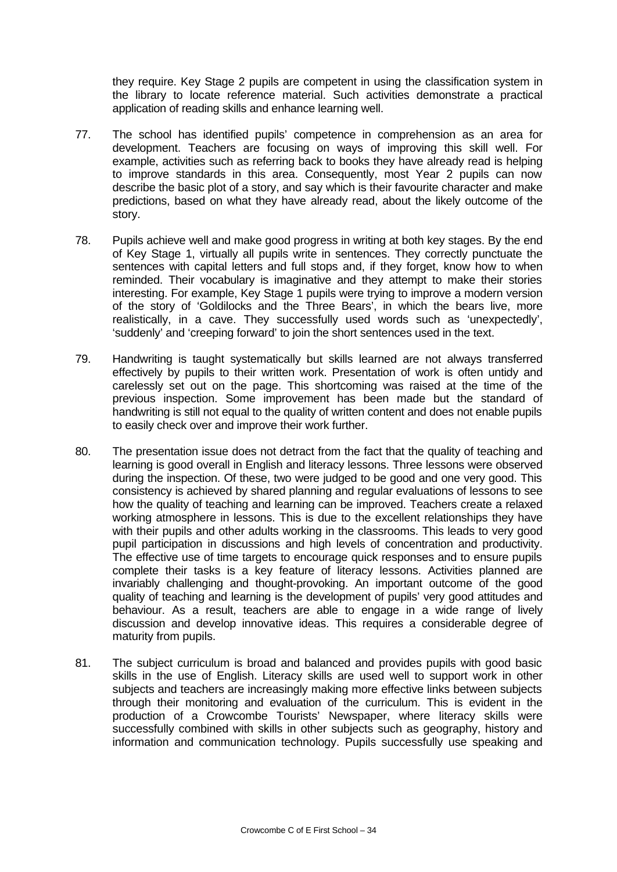they require. Key Stage 2 pupils are competent in using the classification system in the library to locate reference material. Such activities demonstrate a practical application of reading skills and enhance learning well.

- 77. The school has identified pupils' competence in comprehension as an area for development. Teachers are focusing on ways of improving this skill well. For example, activities such as referring back to books they have already read is helping to improve standards in this area. Consequently, most Year 2 pupils can now describe the basic plot of a story, and say which is their favourite character and make predictions, based on what they have already read, about the likely outcome of the story.
- 78. Pupils achieve well and make good progress in writing at both key stages. By the end of Key Stage 1, virtually all pupils write in sentences. They correctly punctuate the sentences with capital letters and full stops and, if they forget, know how to when reminded. Their vocabulary is imaginative and they attempt to make their stories interesting. For example, Key Stage 1 pupils were trying to improve a modern version of the story of 'Goldilocks and the Three Bears', in which the bears live, more realistically, in a cave. They successfully used words such as 'unexpectedly', 'suddenly' and 'creeping forward' to join the short sentences used in the text.
- 79. Handwriting is taught systematically but skills learned are not always transferred effectively by pupils to their written work. Presentation of work is often untidy and carelessly set out on the page. This shortcoming was raised at the time of the previous inspection. Some improvement has been made but the standard of handwriting is still not equal to the quality of written content and does not enable pupils to easily check over and improve their work further.
- 80. The presentation issue does not detract from the fact that the quality of teaching and learning is good overall in English and literacy lessons. Three lessons were observed during the inspection. Of these, two were judged to be good and one very good. This consistency is achieved by shared planning and regular evaluations of lessons to see how the quality of teaching and learning can be improved. Teachers create a relaxed working atmosphere in lessons. This is due to the excellent relationships they have with their pupils and other adults working in the classrooms. This leads to very good pupil participation in discussions and high levels of concentration and productivity. The effective use of time targets to encourage quick responses and to ensure pupils complete their tasks is a key feature of literacy lessons. Activities planned are invariably challenging and thought-provoking. An important outcome of the good quality of teaching and learning is the development of pupils' very good attitudes and behaviour. As a result, teachers are able to engage in a wide range of lively discussion and develop innovative ideas. This requires a considerable degree of maturity from pupils.
- 81. The subject curriculum is broad and balanced and provides pupils with good basic skills in the use of English. Literacy skills are used well to support work in other subjects and teachers are increasingly making more effective links between subjects through their monitoring and evaluation of the curriculum. This is evident in the production of a Crowcombe Tourists' Newspaper, where literacy skills were successfully combined with skills in other subjects such as geography, history and information and communication technology. Pupils successfully use speaking and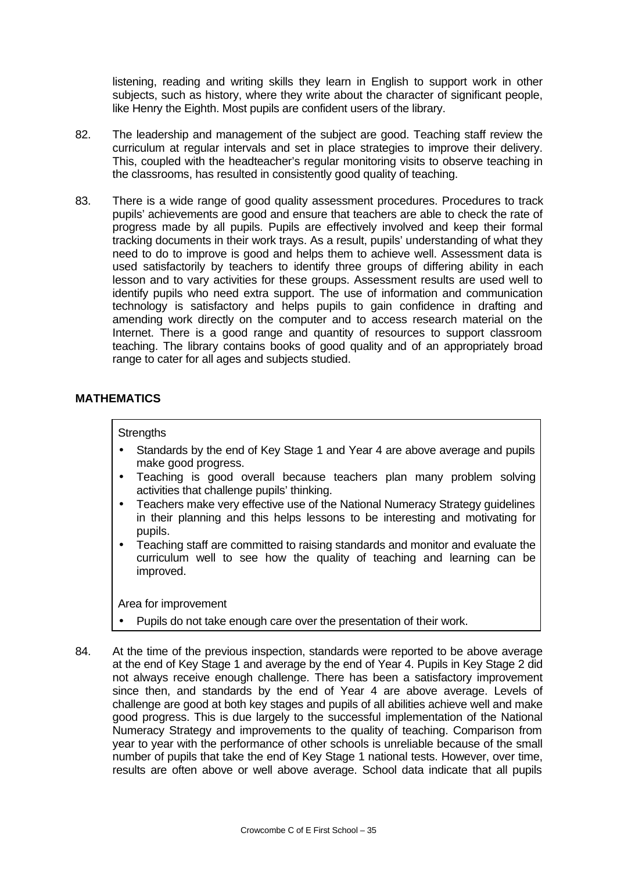listening, reading and writing skills they learn in English to support work in other subjects, such as history, where they write about the character of significant people, like Henry the Eighth. Most pupils are confident users of the library.

- 82. The leadership and management of the subject are good. Teaching staff review the curriculum at regular intervals and set in place strategies to improve their delivery. This, coupled with the headteacher's regular monitoring visits to observe teaching in the classrooms, has resulted in consistently good quality of teaching.
- 83. There is a wide range of good quality assessment procedures. Procedures to track pupils' achievements are good and ensure that teachers are able to check the rate of progress made by all pupils. Pupils are effectively involved and keep their formal tracking documents in their work trays. As a result, pupils' understanding of what they need to do to improve is good and helps them to achieve well. Assessment data is used satisfactorily by teachers to identify three groups of differing ability in each lesson and to vary activities for these groups. Assessment results are used well to identify pupils who need extra support. The use of information and communication technology is satisfactory and helps pupils to gain confidence in drafting and amending work directly on the computer and to access research material on the Internet. There is a good range and quantity of resources to support classroom teaching. The library contains books of good quality and of an appropriately broad range to cater for all ages and subjects studied.

## **MATHEMATICS**

### **Strengths**

- Standards by the end of Key Stage 1 and Year 4 are above average and pupils make good progress.
- Teaching is good overall because teachers plan many problem solving activities that challenge pupils' thinking.
- Teachers make very effective use of the National Numeracy Strategy guidelines in their planning and this helps lessons to be interesting and motivating for pupils.
- Teaching staff are committed to raising standards and monitor and evaluate the curriculum well to see how the quality of teaching and learning can be improved.

- Pupils do not take enough care over the presentation of their work.
- 84. At the time of the previous inspection, standards were reported to be above average at the end of Key Stage 1 and average by the end of Year 4. Pupils in Key Stage 2 did not always receive enough challenge. There has been a satisfactory improvement since then, and standards by the end of Year 4 are above average. Levels of challenge are good at both key stages and pupils of all abilities achieve well and make good progress. This is due largely to the successful implementation of the National Numeracy Strategy and improvements to the quality of teaching. Comparison from year to year with the performance of other schools is unreliable because of the small number of pupils that take the end of Key Stage 1 national tests. However, over time, results are often above or well above average. School data indicate that all pupils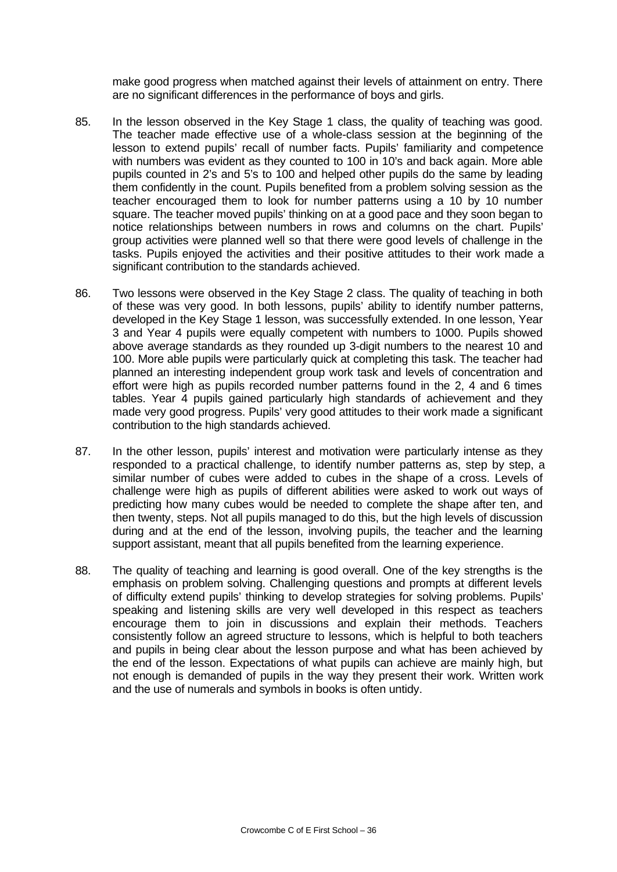make good progress when matched against their levels of attainment on entry. There are no significant differences in the performance of boys and girls.

- 85. In the lesson observed in the Key Stage 1 class, the quality of teaching was good. The teacher made effective use of a whole-class session at the beginning of the lesson to extend pupils' recall of number facts. Pupils' familiarity and competence with numbers was evident as they counted to 100 in 10's and back again. More able pupils counted in 2's and 5's to 100 and helped other pupils do the same by leading them confidently in the count. Pupils benefited from a problem solving session as the teacher encouraged them to look for number patterns using a 10 by 10 number square. The teacher moved pupils' thinking on at a good pace and they soon began to notice relationships between numbers in rows and columns on the chart. Pupils' group activities were planned well so that there were good levels of challenge in the tasks. Pupils enjoyed the activities and their positive attitudes to their work made a significant contribution to the standards achieved.
- 86. Two lessons were observed in the Key Stage 2 class. The quality of teaching in both of these was very good. In both lessons, pupils' ability to identify number patterns, developed in the Key Stage 1 lesson, was successfully extended. In one lesson, Year 3 and Year 4 pupils were equally competent with numbers to 1000. Pupils showed above average standards as they rounded up 3-digit numbers to the nearest 10 and 100. More able pupils were particularly quick at completing this task. The teacher had planned an interesting independent group work task and levels of concentration and effort were high as pupils recorded number patterns found in the 2, 4 and 6 times tables. Year 4 pupils gained particularly high standards of achievement and they made very good progress. Pupils' very good attitudes to their work made a significant contribution to the high standards achieved.
- 87. In the other lesson, pupils' interest and motivation were particularly intense as they responded to a practical challenge, to identify number patterns as, step by step, a similar number of cubes were added to cubes in the shape of a cross. Levels of challenge were high as pupils of different abilities were asked to work out ways of predicting how many cubes would be needed to complete the shape after ten, and then twenty, steps. Not all pupils managed to do this, but the high levels of discussion during and at the end of the lesson, involving pupils, the teacher and the learning support assistant, meant that all pupils benefited from the learning experience.
- 88. The quality of teaching and learning is good overall. One of the key strengths is the emphasis on problem solving. Challenging questions and prompts at different levels of difficulty extend pupils' thinking to develop strategies for solving problems. Pupils' speaking and listening skills are very well developed in this respect as teachers encourage them to join in discussions and explain their methods. Teachers consistently follow an agreed structure to lessons, which is helpful to both teachers and pupils in being clear about the lesson purpose and what has been achieved by the end of the lesson. Expectations of what pupils can achieve are mainly high, but not enough is demanded of pupils in the way they present their work. Written work and the use of numerals and symbols in books is often untidy.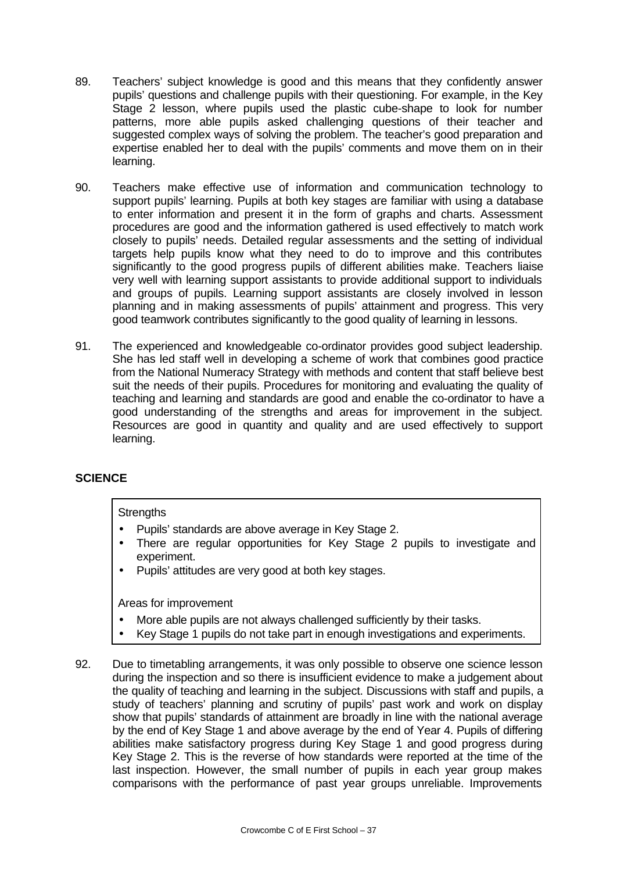- 89. Teachers' subject knowledge is good and this means that they confidently answer pupils' questions and challenge pupils with their questioning. For example, in the Key Stage 2 lesson, where pupils used the plastic cube-shape to look for number patterns, more able pupils asked challenging questions of their teacher and suggested complex ways of solving the problem. The teacher's good preparation and expertise enabled her to deal with the pupils' comments and move them on in their learning.
- 90. Teachers make effective use of information and communication technology to support pupils' learning. Pupils at both key stages are familiar with using a database to enter information and present it in the form of graphs and charts. Assessment procedures are good and the information gathered is used effectively to match work closely to pupils' needs. Detailed regular assessments and the setting of individual targets help pupils know what they need to do to improve and this contributes significantly to the good progress pupils of different abilities make. Teachers liaise very well with learning support assistants to provide additional support to individuals and groups of pupils. Learning support assistants are closely involved in lesson planning and in making assessments of pupils' attainment and progress. This very good teamwork contributes significantly to the good quality of learning in lessons.
- 91. The experienced and knowledgeable co-ordinator provides good subject leadership. She has led staff well in developing a scheme of work that combines good practice from the National Numeracy Strategy with methods and content that staff believe best suit the needs of their pupils. Procedures for monitoring and evaluating the quality of teaching and learning and standards are good and enable the co-ordinator to have a good understanding of the strengths and areas for improvement in the subject. Resources are good in quantity and quality and are used effectively to support learning.

## **SCIENCE**

### **Strengths**

- Pupils' standards are above average in Key Stage 2.
- There are regular opportunities for Key Stage 2 pupils to investigate and experiment.
- Pupils' attitudes are very good at both key stages.

- More able pupils are not always challenged sufficiently by their tasks.
- Key Stage 1 pupils do not take part in enough investigations and experiments.
- 92. Due to timetabling arrangements, it was only possible to observe one science lesson during the inspection and so there is insufficient evidence to make a judgement about the quality of teaching and learning in the subject. Discussions with staff and pupils, a study of teachers' planning and scrutiny of pupils' past work and work on display show that pupils' standards of attainment are broadly in line with the national average by the end of Key Stage 1 and above average by the end of Year 4. Pupils of differing abilities make satisfactory progress during Key Stage 1 and good progress during Key Stage 2. This is the reverse of how standards were reported at the time of the last inspection. However, the small number of pupils in each year group makes comparisons with the performance of past year groups unreliable. Improvements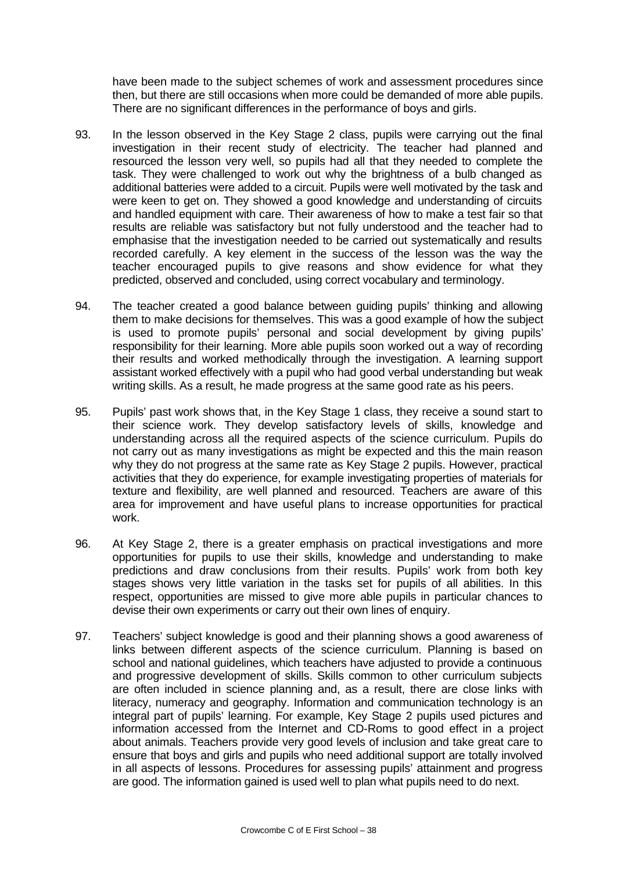have been made to the subject schemes of work and assessment procedures since then, but there are still occasions when more could be demanded of more able pupils. There are no significant differences in the performance of boys and girls.

- 93. In the lesson observed in the Key Stage 2 class, pupils were carrying out the final investigation in their recent study of electricity. The teacher had planned and resourced the lesson very well, so pupils had all that they needed to complete the task. They were challenged to work out why the brightness of a bulb changed as additional batteries were added to a circuit. Pupils were well motivated by the task and were keen to get on. They showed a good knowledge and understanding of circuits and handled equipment with care. Their awareness of how to make a test fair so that results are reliable was satisfactory but not fully understood and the teacher had to emphasise that the investigation needed to be carried out systematically and results recorded carefully. A key element in the success of the lesson was the way the teacher encouraged pupils to give reasons and show evidence for what they predicted, observed and concluded, using correct vocabulary and terminology.
- 94. The teacher created a good balance between guiding pupils' thinking and allowing them to make decisions for themselves. This was a good example of how the subject is used to promote pupils' personal and social development by giving pupils' responsibility for their learning. More able pupils soon worked out a way of recording their results and worked methodically through the investigation. A learning support assistant worked effectively with a pupil who had good verbal understanding but weak writing skills. As a result, he made progress at the same good rate as his peers.
- 95. Pupils' past work shows that, in the Key Stage 1 class, they receive a sound start to their science work. They develop satisfactory levels of skills, knowledge and understanding across all the required aspects of the science curriculum. Pupils do not carry out as many investigations as might be expected and this the main reason why they do not progress at the same rate as Key Stage 2 pupils. However, practical activities that they do experience, for example investigating properties of materials for texture and flexibility, are well planned and resourced. Teachers are aware of this area for improvement and have useful plans to increase opportunities for practical work.
- 96. At Key Stage 2, there is a greater emphasis on practical investigations and more opportunities for pupils to use their skills, knowledge and understanding to make predictions and draw conclusions from their results. Pupils' work from both key stages shows very little variation in the tasks set for pupils of all abilities. In this respect, opportunities are missed to give more able pupils in particular chances to devise their own experiments or carry out their own lines of enquiry.
- 97. Teachers' subject knowledge is good and their planning shows a good awareness of links between different aspects of the science curriculum. Planning is based on school and national guidelines, which teachers have adjusted to provide a continuous and progressive development of skills. Skills common to other curriculum subjects are often included in science planning and, as a result, there are close links with literacy, numeracy and geography. Information and communication technology is an integral part of pupils' learning. For example, Key Stage 2 pupils used pictures and information accessed from the Internet and CD-Roms to good effect in a project about animals. Teachers provide very good levels of inclusion and take great care to ensure that boys and girls and pupils who need additional support are totally involved in all aspects of lessons. Procedures for assessing pupils' attainment and progress are good. The information gained is used well to plan what pupils need to do next.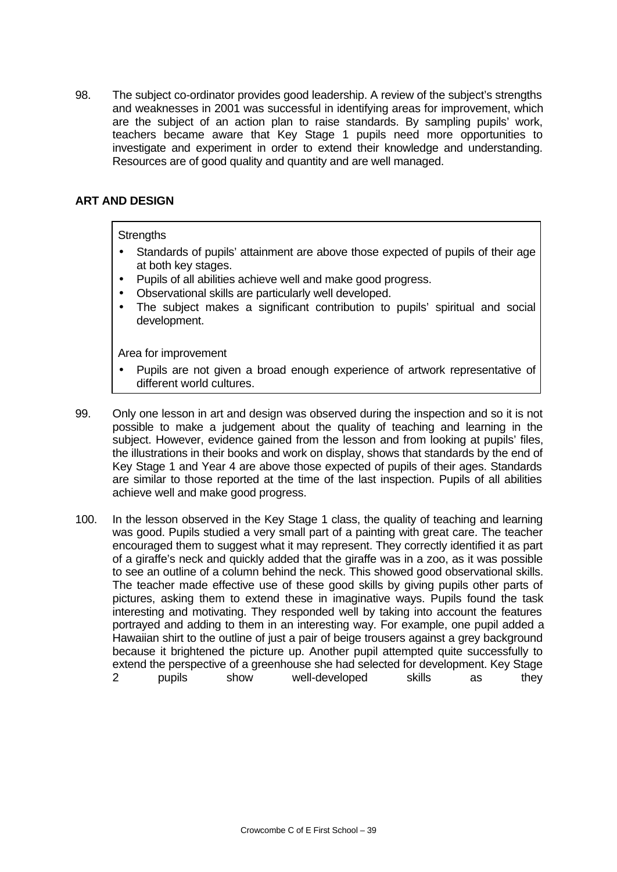98. The subject co-ordinator provides good leadership. A review of the subject's strengths and weaknesses in 2001 was successful in identifying areas for improvement, which are the subject of an action plan to raise standards. By sampling pupils' work, teachers became aware that Key Stage 1 pupils need more opportunities to investigate and experiment in order to extend their knowledge and understanding. Resources are of good quality and quantity and are well managed.

## **ART AND DESIGN**

### **Strengths**

- Standards of pupils' attainment are above those expected of pupils of their age at both key stages.
- Pupils of all abilities achieve well and make good progress.
- Observational skills are particularly well developed.
- The subject makes a significant contribution to pupils' spiritual and social development.

- Pupils are not given a broad enough experience of artwork representative of different world cultures.
- 99. Only one lesson in art and design was observed during the inspection and so it is not possible to make a judgement about the quality of teaching and learning in the subject. However, evidence gained from the lesson and from looking at pupils' files, the illustrations in their books and work on display, shows that standards by the end of Key Stage 1 and Year 4 are above those expected of pupils of their ages. Standards are similar to those reported at the time of the last inspection. Pupils of all abilities achieve well and make good progress.
- 100. In the lesson observed in the Key Stage 1 class, the quality of teaching and learning was good. Pupils studied a very small part of a painting with great care. The teacher encouraged them to suggest what it may represent. They correctly identified it as part of a giraffe's neck and quickly added that the giraffe was in a zoo, as it was possible to see an outline of a column behind the neck. This showed good observational skills. The teacher made effective use of these good skills by giving pupils other parts of pictures, asking them to extend these in imaginative ways. Pupils found the task interesting and motivating. They responded well by taking into account the features portrayed and adding to them in an interesting way. For example, one pupil added a Hawaiian shirt to the outline of just a pair of beige trousers against a grey background because it brightened the picture up. Another pupil attempted quite successfully to extend the perspective of a greenhouse she had selected for development. Key Stage 2 pupils show well-developed skills as they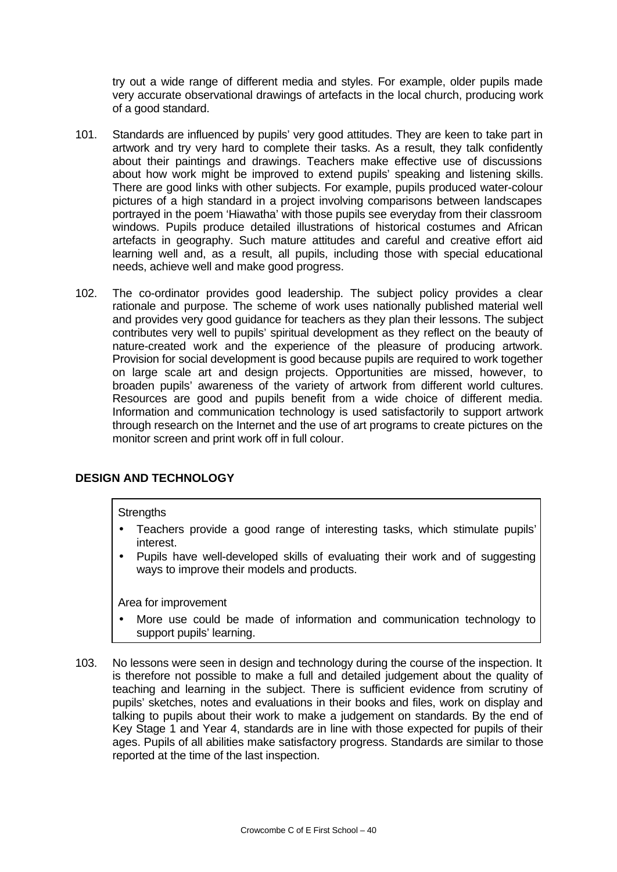try out a wide range of different media and styles. For example, older pupils made very accurate observational drawings of artefacts in the local church, producing work of a good standard.

- 101. Standards are influenced by pupils' very good attitudes. They are keen to take part in artwork and try very hard to complete their tasks. As a result, they talk confidently about their paintings and drawings. Teachers make effective use of discussions about how work might be improved to extend pupils' speaking and listening skills. There are good links with other subjects. For example, pupils produced water-colour pictures of a high standard in a project involving comparisons between landscapes portrayed in the poem 'Hiawatha' with those pupils see everyday from their classroom windows. Pupils produce detailed illustrations of historical costumes and African artefacts in geography. Such mature attitudes and careful and creative effort aid learning well and, as a result, all pupils, including those with special educational needs, achieve well and make good progress.
- 102. The co-ordinator provides good leadership. The subject policy provides a clear rationale and purpose. The scheme of work uses nationally published material well and provides very good guidance for teachers as they plan their lessons. The subject contributes very well to pupils' spiritual development as they reflect on the beauty of nature-created work and the experience of the pleasure of producing artwork. Provision for social development is good because pupils are required to work together on large scale art and design projects. Opportunities are missed, however, to broaden pupils' awareness of the variety of artwork from different world cultures. Resources are good and pupils benefit from a wide choice of different media. Information and communication technology is used satisfactorily to support artwork through research on the Internet and the use of art programs to create pictures on the monitor screen and print work off in full colour.

# **DESIGN AND TECHNOLOGY**

### **Strengths**

- Teachers provide a good range of interesting tasks, which stimulate pupils' interest.
- Pupils have well-developed skills of evaluating their work and of suggesting ways to improve their models and products.

- More use could be made of information and communication technology to support pupils' learning.
- 103. No lessons were seen in design and technology during the course of the inspection. It is therefore not possible to make a full and detailed judgement about the quality of teaching and learning in the subject. There is sufficient evidence from scrutiny of pupils' sketches, notes and evaluations in their books and files, work on display and talking to pupils about their work to make a judgement on standards. By the end of Key Stage 1 and Year 4, standards are in line with those expected for pupils of their ages. Pupils of all abilities make satisfactory progress. Standards are similar to those reported at the time of the last inspection.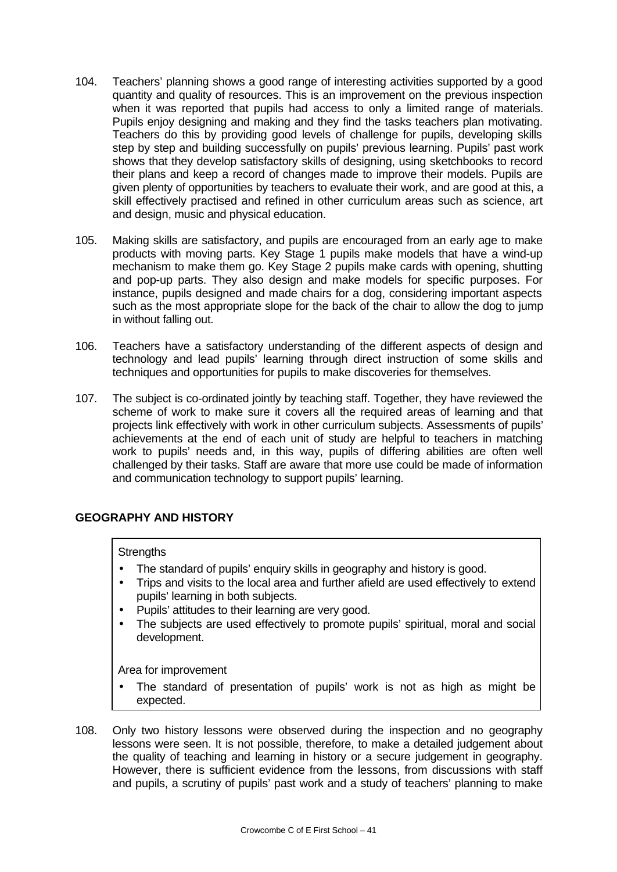- 104. Teachers' planning shows a good range of interesting activities supported by a good quantity and quality of resources. This is an improvement on the previous inspection when it was reported that pupils had access to only a limited range of materials. Pupils enjoy designing and making and they find the tasks teachers plan motivating. Teachers do this by providing good levels of challenge for pupils, developing skills step by step and building successfully on pupils' previous learning. Pupils' past work shows that they develop satisfactory skills of designing, using sketchbooks to record their plans and keep a record of changes made to improve their models. Pupils are given plenty of opportunities by teachers to evaluate their work, and are good at this, a skill effectively practised and refined in other curriculum areas such as science, art and design, music and physical education.
- 105. Making skills are satisfactory, and pupils are encouraged from an early age to make products with moving parts. Key Stage 1 pupils make models that have a wind-up mechanism to make them go. Key Stage 2 pupils make cards with opening, shutting and pop-up parts. They also design and make models for specific purposes. For instance, pupils designed and made chairs for a dog, considering important aspects such as the most appropriate slope for the back of the chair to allow the dog to jump in without falling out.
- 106. Teachers have a satisfactory understanding of the different aspects of design and technology and lead pupils' learning through direct instruction of some skills and techniques and opportunities for pupils to make discoveries for themselves.
- 107. The subject is co-ordinated jointly by teaching staff. Together, they have reviewed the scheme of work to make sure it covers all the required areas of learning and that projects link effectively with work in other curriculum subjects. Assessments of pupils' achievements at the end of each unit of study are helpful to teachers in matching work to pupils' needs and, in this way, pupils of differing abilities are often well challenged by their tasks. Staff are aware that more use could be made of information and communication technology to support pupils' learning.

# **GEOGRAPHY AND HISTORY**

## **Strengths**

- The standard of pupils' enquiry skills in geography and history is good.
- Trips and visits to the local area and further afield are used effectively to extend pupils' learning in both subjects.
- Pupils' attitudes to their learning are very good.
- The subjects are used effectively to promote pupils' spiritual, moral and social development.

- The standard of presentation of pupils' work is not as high as might be expected.
- 108. Only two history lessons were observed during the inspection and no geography lessons were seen. It is not possible, therefore, to make a detailed judgement about the quality of teaching and learning in history or a secure judgement in geography. However, there is sufficient evidence from the lessons, from discussions with staff and pupils, a scrutiny of pupils' past work and a study of teachers' planning to make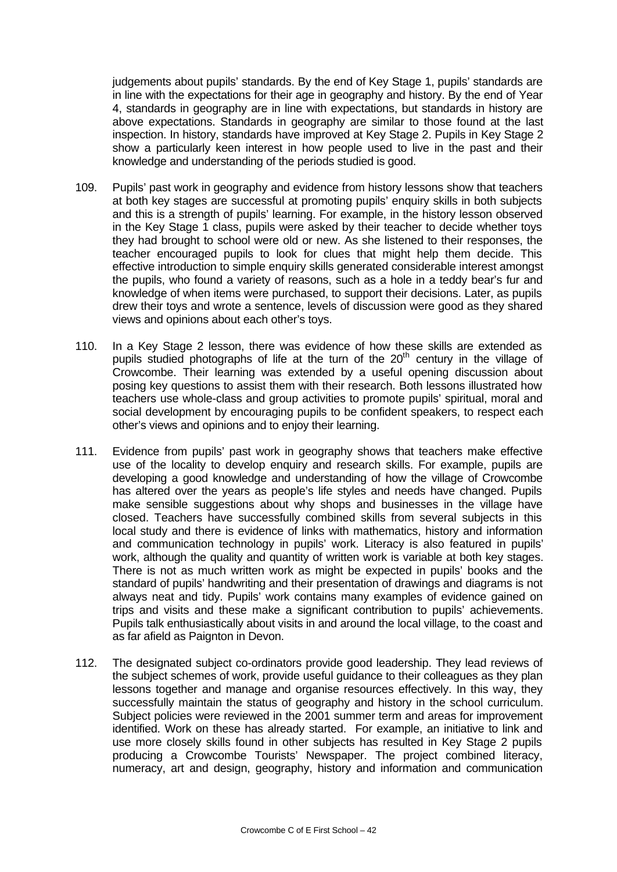judgements about pupils' standards. By the end of Key Stage 1, pupils' standards are in line with the expectations for their age in geography and history. By the end of Year 4, standards in geography are in line with expectations, but standards in history are above expectations. Standards in geography are similar to those found at the last inspection. In history, standards have improved at Key Stage 2. Pupils in Key Stage 2 show a particularly keen interest in how people used to live in the past and their knowledge and understanding of the periods studied is good.

- 109. Pupils' past work in geography and evidence from history lessons show that teachers at both key stages are successful at promoting pupils' enquiry skills in both subjects and this is a strength of pupils' learning. For example, in the history lesson observed in the Key Stage 1 class, pupils were asked by their teacher to decide whether toys they had brought to school were old or new. As she listened to their responses, the teacher encouraged pupils to look for clues that might help them decide. This effective introduction to simple enquiry skills generated considerable interest amongst the pupils, who found a variety of reasons, such as a hole in a teddy bear's fur and knowledge of when items were purchased, to support their decisions. Later, as pupils drew their toys and wrote a sentence, levels of discussion were good as they shared views and opinions about each other's toys.
- 110. In a Key Stage 2 lesson, there was evidence of how these skills are extended as pupils studied photographs of life at the turn of the  $20<sup>th</sup>$  century in the village of Crowcombe. Their learning was extended by a useful opening discussion about posing key questions to assist them with their research. Both lessons illustrated how teachers use whole-class and group activities to promote pupils' spiritual, moral and social development by encouraging pupils to be confident speakers, to respect each other's views and opinions and to enjoy their learning.
- 111. Evidence from pupils' past work in geography shows that teachers make effective use of the locality to develop enquiry and research skills. For example, pupils are developing a good knowledge and understanding of how the village of Crowcombe has altered over the years as people's life styles and needs have changed. Pupils make sensible suggestions about why shops and businesses in the village have closed. Teachers have successfully combined skills from several subjects in this local study and there is evidence of links with mathematics, history and information and communication technology in pupils' work. Literacy is also featured in pupils' work, although the quality and quantity of written work is variable at both key stages. There is not as much written work as might be expected in pupils' books and the standard of pupils' handwriting and their presentation of drawings and diagrams is not always neat and tidy. Pupils' work contains many examples of evidence gained on trips and visits and these make a significant contribution to pupils' achievements. Pupils talk enthusiastically about visits in and around the local village, to the coast and as far afield as Paignton in Devon.
- 112. The designated subject co-ordinators provide good leadership. They lead reviews of the subject schemes of work, provide useful guidance to their colleagues as they plan lessons together and manage and organise resources effectively. In this way, they successfully maintain the status of geography and history in the school curriculum. Subject policies were reviewed in the 2001 summer term and areas for improvement identified. Work on these has already started. For example, an initiative to link and use more closely skills found in other subjects has resulted in Key Stage 2 pupils producing a Crowcombe Tourists' Newspaper. The project combined literacy, numeracy, art and design, geography, history and information and communication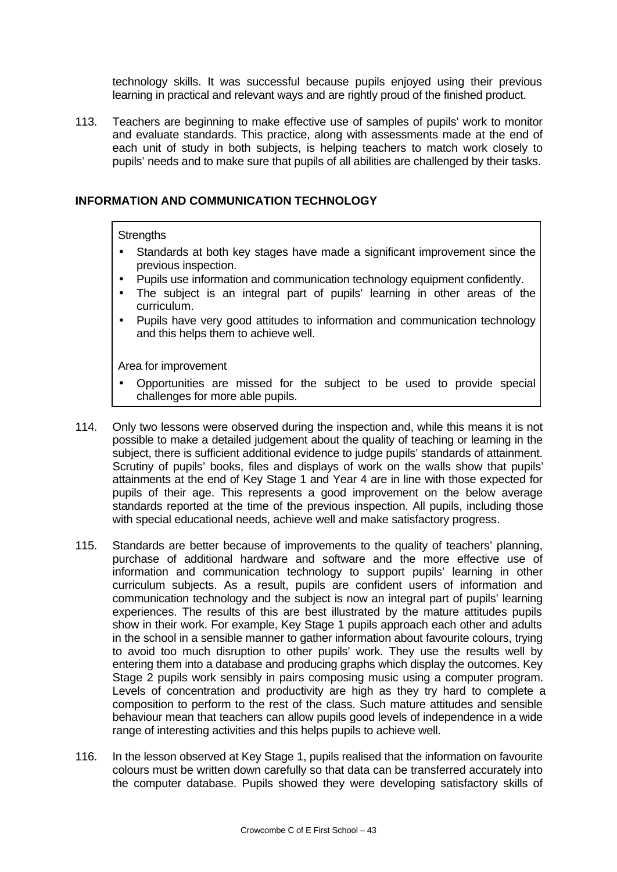technology skills. It was successful because pupils enjoyed using their previous learning in practical and relevant ways and are rightly proud of the finished product.

113. Teachers are beginning to make effective use of samples of pupils' work to monitor and evaluate standards. This practice, along with assessments made at the end of each unit of study in both subjects, is helping teachers to match work closely to pupils' needs and to make sure that pupils of all abilities are challenged by their tasks.

### **INFORMATION AND COMMUNICATION TECHNOLOGY**

### **Strengths**

- Standards at both key stages have made a significant improvement since the previous inspection.
- Pupils use information and communication technology equipment confidently.
- The subject is an integral part of pupils' learning in other areas of the curriculum.
- Pupils have very good attitudes to information and communication technology and this helps them to achieve well.

- Opportunities are missed for the subject to be used to provide special challenges for more able pupils.
- 114. Only two lessons were observed during the inspection and, while this means it is not possible to make a detailed judgement about the quality of teaching or learning in the subject, there is sufficient additional evidence to judge pupils' standards of attainment. Scrutiny of pupils' books, files and displays of work on the walls show that pupils' attainments at the end of Key Stage 1 and Year 4 are in line with those expected for pupils of their age. This represents a good improvement on the below average standards reported at the time of the previous inspection. All pupils, including those with special educational needs, achieve well and make satisfactory progress.
- 115. Standards are better because of improvements to the quality of teachers' planning, purchase of additional hardware and software and the more effective use of information and communication technology to support pupils' learning in other curriculum subjects. As a result, pupils are confident users of information and communication technology and the subject is now an integral part of pupils' learning experiences. The results of this are best illustrated by the mature attitudes pupils show in their work. For example, Key Stage 1 pupils approach each other and adults in the school in a sensible manner to gather information about favourite colours, trying to avoid too much disruption to other pupils' work. They use the results well by entering them into a database and producing graphs which display the outcomes. Key Stage 2 pupils work sensibly in pairs composing music using a computer program. Levels of concentration and productivity are high as they try hard to complete a composition to perform to the rest of the class. Such mature attitudes and sensible behaviour mean that teachers can allow pupils good levels of independence in a wide range of interesting activities and this helps pupils to achieve well.
- 116. In the lesson observed at Key Stage 1, pupils realised that the information on favourite colours must be written down carefully so that data can be transferred accurately into the computer database. Pupils showed they were developing satisfactory skills of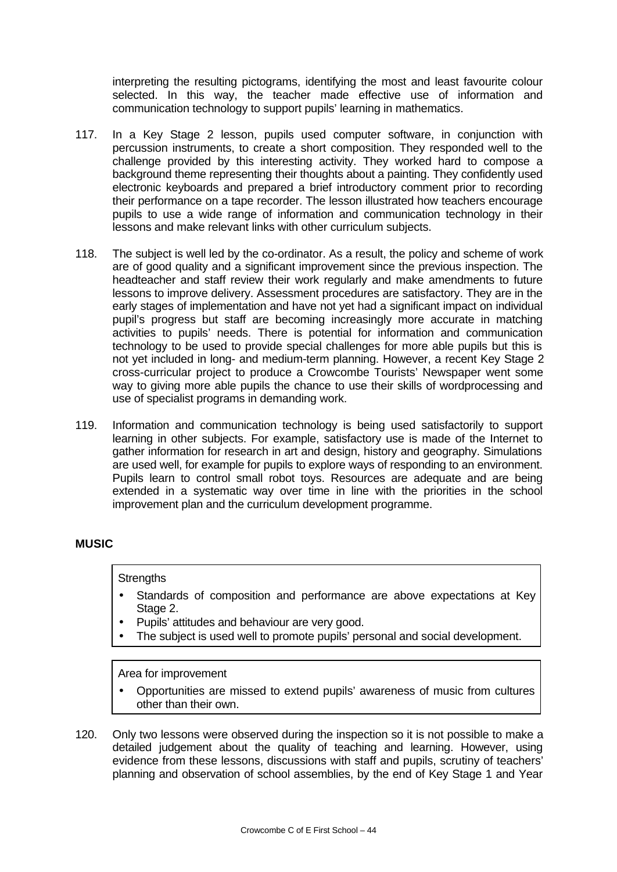interpreting the resulting pictograms, identifying the most and least favourite colour selected. In this way, the teacher made effective use of information and communication technology to support pupils' learning in mathematics.

- 117. In a Key Stage 2 lesson, pupils used computer software, in conjunction with percussion instruments, to create a short composition. They responded well to the challenge provided by this interesting activity. They worked hard to compose a background theme representing their thoughts about a painting. They confidently used electronic keyboards and prepared a brief introductory comment prior to recording their performance on a tape recorder. The lesson illustrated how teachers encourage pupils to use a wide range of information and communication technology in their lessons and make relevant links with other curriculum subjects.
- 118. The subject is well led by the co-ordinator. As a result, the policy and scheme of work are of good quality and a significant improvement since the previous inspection. The headteacher and staff review their work regularly and make amendments to future lessons to improve delivery. Assessment procedures are satisfactory. They are in the early stages of implementation and have not yet had a significant impact on individual pupil's progress but staff are becoming increasingly more accurate in matching activities to pupils' needs. There is potential for information and communication technology to be used to provide special challenges for more able pupils but this is not yet included in long- and medium-term planning. However, a recent Key Stage 2 cross-curricular project to produce a Crowcombe Tourists' Newspaper went some way to giving more able pupils the chance to use their skills of wordprocessing and use of specialist programs in demanding work.
- 119. Information and communication technology is being used satisfactorily to support learning in other subjects. For example, satisfactory use is made of the Internet to gather information for research in art and design, history and geography. Simulations are used well, for example for pupils to explore ways of responding to an environment. Pupils learn to control small robot toys. Resources are adequate and are being extended in a systematic way over time in line with the priorities in the school improvement plan and the curriculum development programme.

## **MUSIC**

### **Strengths**

- Standards of composition and performance are above expectations at Key Stage 2.
- Pupils' attitudes and behaviour are very good.
- The subject is used well to promote pupils' personal and social development.

- Opportunities are missed to extend pupils' awareness of music from cultures other than their own.
- 120. Only two lessons were observed during the inspection so it is not possible to make a detailed judgement about the quality of teaching and learning. However, using evidence from these lessons, discussions with staff and pupils, scrutiny of teachers' planning and observation of school assemblies, by the end of Key Stage 1 and Year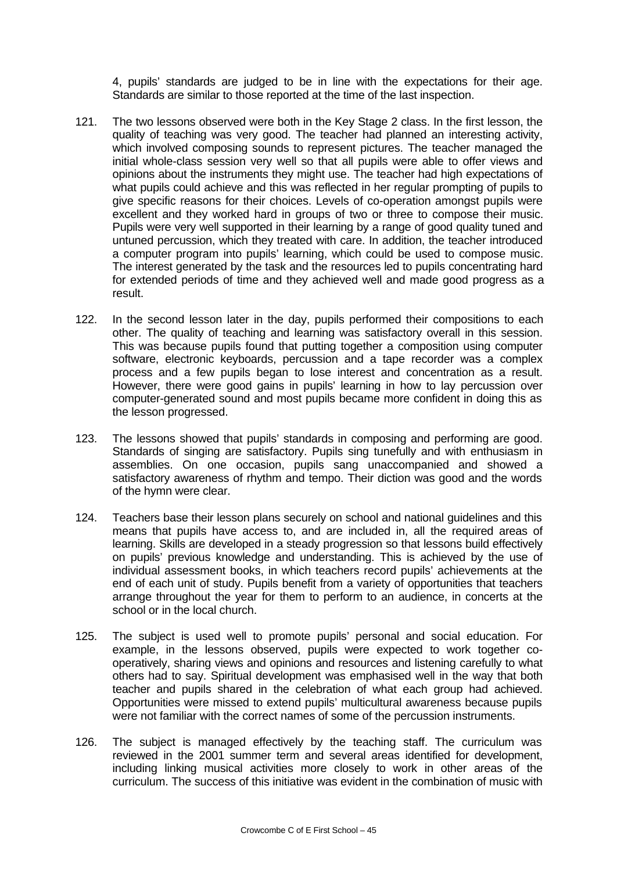4, pupils' standards are judged to be in line with the expectations for their age. Standards are similar to those reported at the time of the last inspection.

- 121. The two lessons observed were both in the Key Stage 2 class. In the first lesson, the quality of teaching was very good. The teacher had planned an interesting activity, which involved composing sounds to represent pictures. The teacher managed the initial whole-class session very well so that all pupils were able to offer views and opinions about the instruments they might use. The teacher had high expectations of what pupils could achieve and this was reflected in her regular prompting of pupils to give specific reasons for their choices. Levels of co-operation amongst pupils were excellent and they worked hard in groups of two or three to compose their music. Pupils were very well supported in their learning by a range of good quality tuned and untuned percussion, which they treated with care. In addition, the teacher introduced a computer program into pupils' learning, which could be used to compose music. The interest generated by the task and the resources led to pupils concentrating hard for extended periods of time and they achieved well and made good progress as a result.
- 122. In the second lesson later in the day, pupils performed their compositions to each other. The quality of teaching and learning was satisfactory overall in this session. This was because pupils found that putting together a composition using computer software, electronic keyboards, percussion and a tape recorder was a complex process and a few pupils began to lose interest and concentration as a result. However, there were good gains in pupils' learning in how to lay percussion over computer-generated sound and most pupils became more confident in doing this as the lesson progressed.
- 123. The lessons showed that pupils' standards in composing and performing are good. Standards of singing are satisfactory. Pupils sing tunefully and with enthusiasm in assemblies. On one occasion, pupils sang unaccompanied and showed a satisfactory awareness of rhythm and tempo. Their diction was good and the words of the hymn were clear.
- 124. Teachers base their lesson plans securely on school and national guidelines and this means that pupils have access to, and are included in, all the required areas of learning. Skills are developed in a steady progression so that lessons build effectively on pupils' previous knowledge and understanding. This is achieved by the use of individual assessment books, in which teachers record pupils' achievements at the end of each unit of study. Pupils benefit from a variety of opportunities that teachers arrange throughout the year for them to perform to an audience, in concerts at the school or in the local church.
- 125. The subject is used well to promote pupils' personal and social education. For example, in the lessons observed, pupils were expected to work together cooperatively, sharing views and opinions and resources and listening carefully to what others had to say. Spiritual development was emphasised well in the way that both teacher and pupils shared in the celebration of what each group had achieved. Opportunities were missed to extend pupils' multicultural awareness because pupils were not familiar with the correct names of some of the percussion instruments.
- 126. The subject is managed effectively by the teaching staff. The curriculum was reviewed in the 2001 summer term and several areas identified for development, including linking musical activities more closely to work in other areas of the curriculum. The success of this initiative was evident in the combination of music with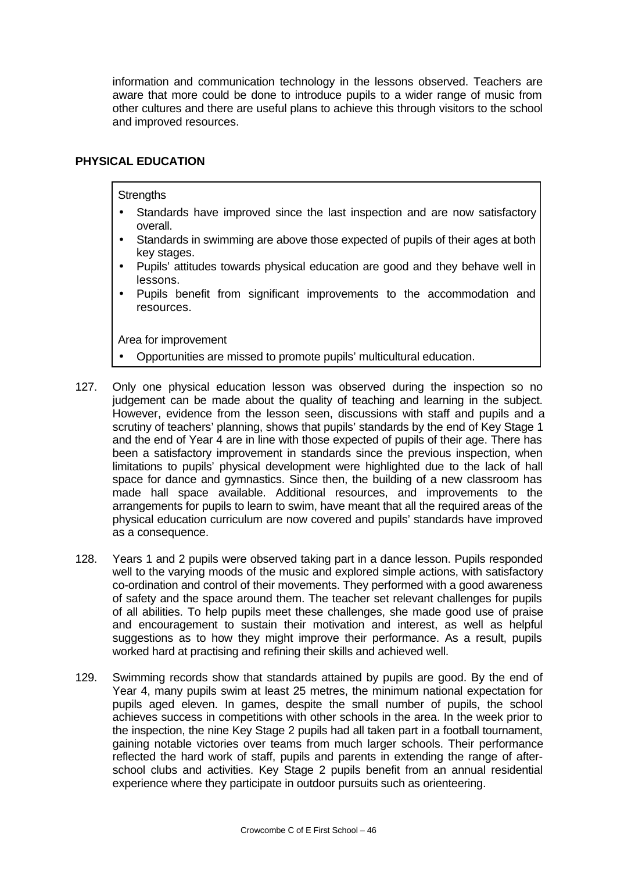information and communication technology in the lessons observed. Teachers are aware that more could be done to introduce pupils to a wider range of music from other cultures and there are useful plans to achieve this through visitors to the school and improved resources.

## **PHYSICAL EDUCATION**

**Strengths** 

- Standards have improved since the last inspection and are now satisfactory overall.
- Standards in swimming are above those expected of pupils of their ages at both key stages.
- Pupils' attitudes towards physical education are good and they behave well in lessons.
- Pupils benefit from significant improvements to the accommodation and resources.

- Opportunities are missed to promote pupils' multicultural education.
- 127. Only one physical education lesson was observed during the inspection so no judgement can be made about the quality of teaching and learning in the subject. However, evidence from the lesson seen, discussions with staff and pupils and a scrutiny of teachers' planning, shows that pupils' standards by the end of Key Stage 1 and the end of Year 4 are in line with those expected of pupils of their age. There has been a satisfactory improvement in standards since the previous inspection, when limitations to pupils' physical development were highlighted due to the lack of hall space for dance and gymnastics. Since then, the building of a new classroom has made hall space available. Additional resources, and improvements to the arrangements for pupils to learn to swim, have meant that all the required areas of the physical education curriculum are now covered and pupils' standards have improved as a consequence.
- 128. Years 1 and 2 pupils were observed taking part in a dance lesson. Pupils responded well to the varying moods of the music and explored simple actions, with satisfactory co-ordination and control of their movements. They performed with a good awareness of safety and the space around them. The teacher set relevant challenges for pupils of all abilities. To help pupils meet these challenges, she made good use of praise and encouragement to sustain their motivation and interest, as well as helpful suggestions as to how they might improve their performance. As a result, pupils worked hard at practising and refining their skills and achieved well.
- 129. Swimming records show that standards attained by pupils are good. By the end of Year 4, many pupils swim at least 25 metres, the minimum national expectation for pupils aged eleven. In games, despite the small number of pupils, the school achieves success in competitions with other schools in the area. In the week prior to the inspection, the nine Key Stage 2 pupils had all taken part in a football tournament, gaining notable victories over teams from much larger schools. Their performance reflected the hard work of staff, pupils and parents in extending the range of afterschool clubs and activities. Key Stage 2 pupils benefit from an annual residential experience where they participate in outdoor pursuits such as orienteering.